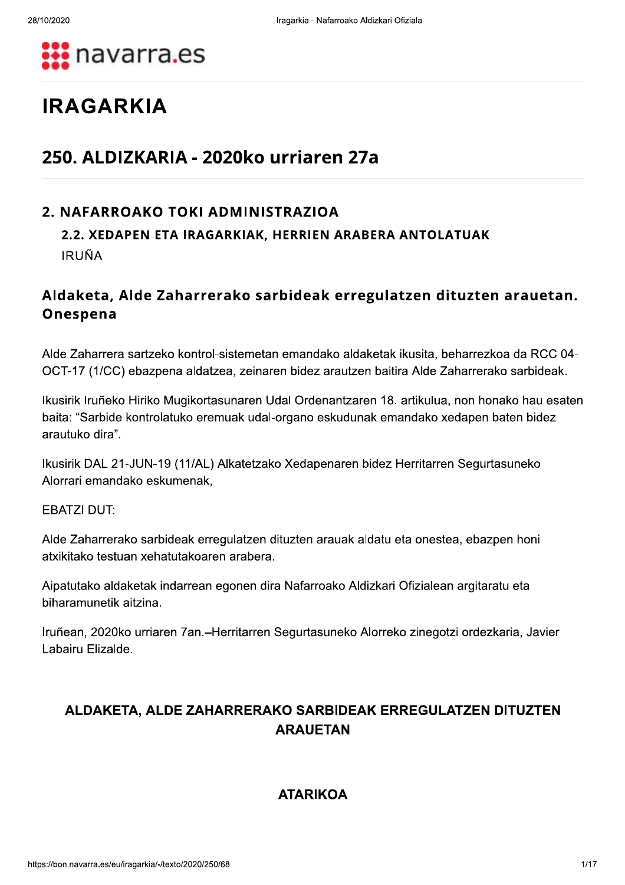

# **IRAGARKIA**

# 250. ALDIZKARIA - 2020ko urriaren 27a

# 2. NAFARROAKO TOKI ADMINISTRAZIOA

# 2.2. XEDAPEN ETA IRAGARKIAK, HERRIEN ARABERA ANTOLATUAK **IRUÑA**

# Aldaketa, Alde Zaharrerako sarbideak erregulatzen dituzten arauetan. Onespena

Alde Zaharrera sartzeko kontrol-sistemetan emandako aldaketak ikusita, beharrezkoa da RCC 04-OCT-17 (1/CC) ebazpena aldatzea, zeinaren bidez arautzen baitira Alde Zaharrerako sarbideak.

Ikusirik Iruñeko Hiriko Mugikortasunaren Udal Ordenantzaren 18. artikulua, non honako hau esaten baita: "Sarbide kontrolatuko eremuak udal-organo eskudunak emandako xedapen baten bidez arautuko dira".

Ikusirik DAL 21-JUN-19 (11/AL) Alkatetzako Xedapenaren bidez Herritarren Segurtasuneko Alorrari emandako eskumenak,

**EBATZI DUT:** 

Alde Zaharrerako sarbideak erregulatzen dituzten arauak aldatu eta onestea, ebazpen honi atxikitako testuan xehatutakoaren arabera.

Aipatutako aldaketak indarrean egonen dira Nafarroako Aldizkari Ofizialean argitaratu eta biharamunetik aitzina.

Iruñean, 2020ko urriaren 7an.-Herritarren Segurtasuneko Alorreko zinegotzi ordezkaria, Javier Labairu Elizalde.

# ALDAKETA, ALDE ZAHARRERAKO SARBIDEAK ERREGULATZEN DITUZTEN **ARAUETAN**

# **ATARIKOA**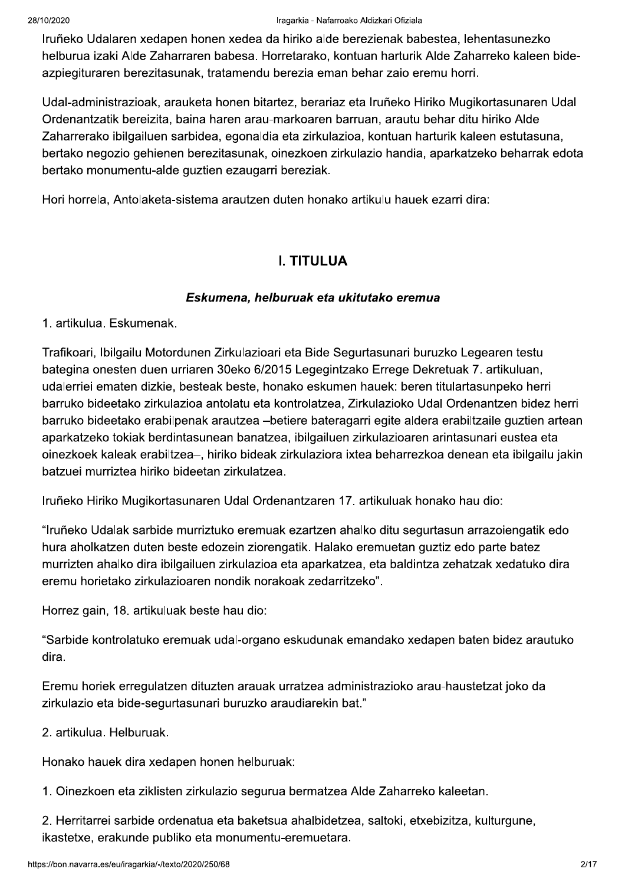#### Iragarkia - Nafarroako Aldizkari Ofiziala

Iruñeko Udalaren xedapen honen xedea da hiriko alde berezienak babestea, lehentasunezko helburua izaki Alde Zaharraren babesa. Horretarako, kontuan harturik Alde Zaharreko kaleen bideazpiegituraren berezitasunak, tratamendu berezia eman behar zaio eremu horri.

Udal-administrazioak, arauketa honen bitartez, berariaz eta Iruñeko Hiriko Mugikortasunaren Udal Ordenantzatik bereizita, baina haren arau-markoaren barruan, arautu behar ditu hiriko Alde Zaharrerako ibilgailuen sarbidea, egonaldia eta zirkulazioa, kontuan harturik kaleen estutasuna, bertako negozio gehienen berezitasunak, oinezkoen zirkulazio handia, aparkatzeko beharrak edota bertako monumentu-alde guztien ezaugarri bereziak.

Hori horrela, Antolaketa-sistema arautzen duten honako artikulu hauek ezarri dira:

# **I. TITULUA**

#### Eskumena, helburuak eta ukitutako eremua

1. artikulua. Eskumenak.

Trafikoari, Ibilgailu Motordunen Zirkulazioari eta Bide Segurtasunari buruzko Legearen testu bategina onesten duen urriaren 30eko 6/2015 Legegintzako Errege Dekretuak 7. artikuluan, udalerriei ematen dizkie, besteak beste, honako eskumen hauek: beren titulartasunpeko herri barruko bideetako zirkulazioa antolatu eta kontrolatzea, Zirkulazioko Udal Ordenantzen bidez herri barruko bideetako erabilpenak arautzea -betiere bateragarri egite aldera erabiltzaile guztien artean aparkatzeko tokiak berdintasunean banatzea, ibilgailuen zirkulazioaren arintasunari eustea eta oinezkoek kaleak erabiltzea-, hiriko bideak zirkulaziora ixtea beharrezkoa denean eta ibilgailu jakin batzuei murriztea hiriko bideetan zirkulatzea.

Iruñeko Hiriko Mugikortasunaren Udal Ordenantzaren 17. artikuluak honako hau dio:

"Iruñeko Udalak sarbide murriztuko eremuak ezartzen ahalko ditu segurtasun arrazoiengatik edo hura aholkatzen duten beste edozein ziorengatik. Halako eremuetan guztiz edo parte batez murrizten ahalko dira ibilgailuen zirkulazioa eta aparkatzea, eta baldintza zehatzak xedatuko dira eremu horietako zirkulazioaren nondik norakoak zedarritzeko".

Horrez gain, 18. artikuluak beste hau dio:

"Sarbide kontrolatuko eremuak udal-organo eskudunak emandako xedapen baten bidez arautuko dira.

Eremu horiek erregulatzen dituzten arauak urratzea administrazioko arau-haustetzat joko da zirkulazio eta bide-segurtasunari buruzko araudiarekin bat."

2. artikulua. Helburuak.

Honako hauek dira xedapen honen helburuak:

1. Oinezkoen eta ziklisten zirkulazio segurua bermatzea Alde Zaharreko kaleetan.

2. Herritarrei sarbide ordenatua eta baketsua ahalbidetzea, saltoki, etxebizitza, kulturgune, ikastetxe, erakunde publiko eta monumentu-eremuetara.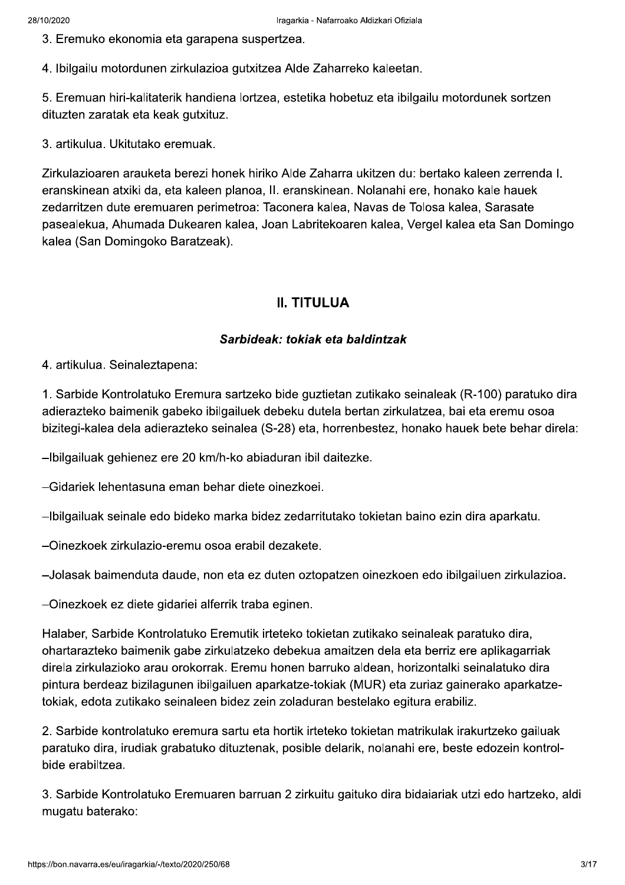3. Eremuko ekonomia eta garapena suspertzea.

4. Ibilgailu motordunen zirkulazioa gutxitzea Alde Zaharreko kaleetan.

5. Eremuan hiri-kalitaterik handiena lortzea, estetika hobetuz eta ibilgailu motordunek sortzen dituzten zaratak eta keak gutxituz.

3. artikulua. Ukitutako eremuak.

Zirkulazioaren arauketa berezi honek hiriko Alde Zaharra ukitzen du: bertako kaleen zerrenda I. eranskinean atxiki da, eta kaleen planoa. II. eranskinean, Nolanahi ere, honako kale hauek zedarritzen dute eremuaren perimetroa: Taconera kalea, Navas de Tolosa kalea, Sarasate pasealekua, Ahumada Dukearen kalea, Joan Labritekoaren kalea, Vergel kalea eta San Domingo kalea (San Domingoko Baratzeak).

## **II. TITULUA**

#### Sarbideak: tokiak eta baldintzak

4. artikulua. Seinaleztapena:

1. Sarbide Kontrolatuko Eremura sartzeko bide guztietan zutikako seinaleak (R-100) paratuko dira adierazteko baimenik gabeko ibilgailuek debeku dutela bertan zirkulatzea, bai eta eremu osoa bizitegi-kalea dela adierazteko seinalea (S-28) eta, horrenbestez, honako hauek bete behar direla:

-Ibilgailuak gehienez ere 20 km/h-ko abiaduran ibil daitezke.

-Gidariek lehentasuna eman behar diete oinezkoei.

-Ibilgailuak seinale edo bideko marka bidez zedarritutako tokietan baino ezin dira aparkatu.

-Oinezkoek zirkulazio-eremu osoa erabil dezakete.

-Jolasak baimenduta daude, non eta ez duten oztopatzen oinezkoen edo ibilgailuen zirkulazioa.

-Oinezkoek ez diete gidariei alferrik traba eginen.

Halaber, Sarbide Kontrolatuko Eremutik irteteko tokietan zutikako seinaleak paratuko dira, ohartarazteko baimenik gabe zirkulatzeko debekua amaitzen dela eta berriz ere aplikagarriak direla zirkulazioko arau orokorrak. Eremu honen barruko aldean, horizontalki seinalatuko dira pintura berdeaz bizilagunen ibilgailuen aparkatze-tokiak (MUR) eta zuriaz gainerako aparkatzetokiak, edota zutikako seinaleen bidez zein zoladuran bestelako egitura erabiliz.

2. Sarbide kontrolatuko eremura sartu eta hortik irteteko tokietan matrikulak irakurtzeko gailuak paratuko dira, irudiak grabatuko dituztenak, posible delarik, nolanahi ere, beste edozein kontrolbide erabiltzea.

3. Sarbide Kontrolatuko Eremuaren barruan 2 zirkuitu gaituko dira bidaiariak utzi edo hartzeko, aldi mugatu baterako: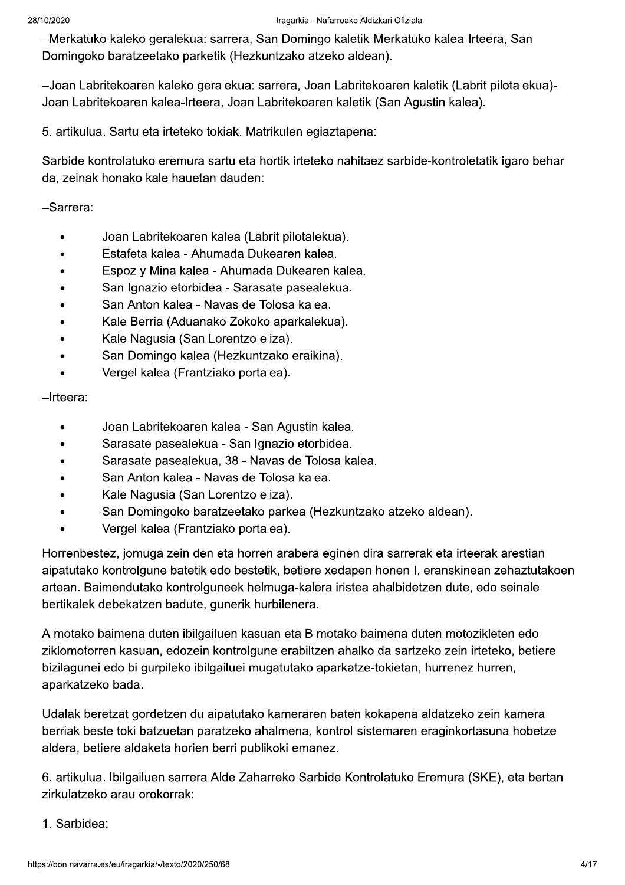-Merkatuko kaleko geralekua: sarrera, San Domingo kaletik-Merkatuko kalea-Irteera, San Domingoko baratzeetako parketik (Hezkuntzako atzeko aldean).

-Joan Labritekoaren kaleko geralekua: sarrera, Joan Labritekoaren kaletik (Labrit pilotalekua)-Joan Labritekoaren kalea-Irteera, Joan Labritekoaren kaletik (San Agustin kalea).

5. artikulua. Sartu eta irteteko tokiak. Matrikulen egiaztapena:

Sarbide kontrolatuko eremura sartu eta hortik irteteko nahitaez sarbide-kontroletatik igaro behar da, zeinak honako kale hauetan dauden:

-Sarrera:

- Joan Labritekoaren kalea (Labrit pilotalekua).
- Estafeta kalea Ahumada Dukearen kalea.
- Espoz y Mina kalea Ahumada Dukearen kalea.
- San Ignazio etorbidea Sarasate pasealekua.  $\bullet$
- San Anton kalea Navas de Tolosa kalea.
- Kale Berria (Aduanako Zokoko aparkalekua).
- Kale Nagusia (San Lorentzo eliza).
- San Domingo kalea (Hezkuntzako eraikina).
- Vergel kalea (Frantziako portalea).

 $-$ Irteera:

- Joan Labritekoaren kalea San Agustin kalea.  $\bullet$
- Sarasate pasealekua San Ignazio etorbidea.  $\bullet$
- Sarasate pasealekua, 38 Navas de Tolosa kalea.
- San Anton kalea Navas de Tolosa kalea.
- Kale Nagusia (San Lorentzo eliza).
- San Domingoko baratzeetako parkea (Hezkuntzako atzeko aldean).
- Vergel kalea (Frantziako portalea).

Horrenbestez, jomuga zein den eta horren arabera eginen dira sarrerak eta irteerak arestian aipatutako kontrolgune batetik edo bestetik, betiere xedapen honen I. eranskinean zehaztutakoen artean. Baimendutako kontrolguneek helmuga-kalera iristea ahalbidetzen dute, edo seinale bertikalek debekatzen badute, gunerik hurbilenera.

A motako baimena duten ibilgailuen kasuan eta B motako baimena duten motozikleten edo ziklomotorren kasuan, edozein kontrolgune erabiltzen ahalko da sartzeko zein irteteko, betiere bizilagunei edo bi gurpileko ibilgailuei mugatutako aparkatze-tokietan, hurrenez hurren, aparkatzeko bada.

Udalak beretzat gordetzen du aipatutako kameraren baten kokapena aldatzeko zein kamera berriak beste toki batzuetan paratzeko ahalmena, kontrol-sistemaren eraginkortasuna hobetze aldera, betiere aldaketa horien berri publikoki emanez.

6. artikulua. Ibilgailuen sarrera Alde Zaharreko Sarbide Kontrolatuko Eremura (SKE), eta bertan zirkulatzeko arau orokorrak:

1. Sarbidea: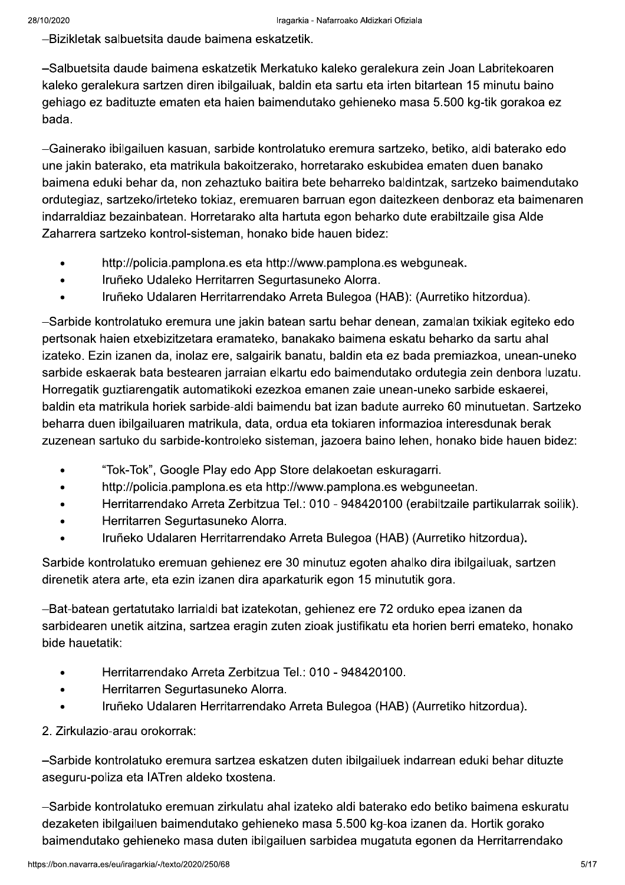-Bizikletak salbuetsita daude baimena eskatzetik.

-Salbuetsita daude baimena eskatzetik Merkatuko kaleko geralekura zein Joan Labritekoaren kaleko geralekura sartzen diren ibilgailuak, baldin eta sartu eta irten bitartean 15 minutu baino gehiago ez badituzte ematen eta haien baimendutako gehieneko masa 5.500 kg-tik gorakoa ez bada.

-Gainerako ibilgailuen kasuan, sarbide kontrolatuko eremura sartzeko, betiko, aldi baterako edo une jakin baterako, eta matrikula bakoitzerako, horretarako eskubidea ematen duen banako baimena eduki behar da, non zehaztuko baitira bete beharreko baldintzak, sartzeko baimendutako ordutegiaz, sartzeko/irteteko tokiaz, eremuaren barruan egon daitezkeen denboraz eta baimenaren indarraldiaz bezainbatean. Horretarako alta hartuta egon beharko dute erabiltzaile gisa Alde Zaharrera sartzeko kontrol-sisteman, honako bide hauen bidez:

- http://policia.pamplona.es eta http://www.pamplona.es webquneak.
- Iruñeko Udaleko Herritarren Segurtasuneko Alorra.  $\bullet$
- Iruñeko Udalaren Herritarrendako Arreta Bulegoa (HAB): (Aurretiko hitzordua).

-Sarbide kontrolatuko eremura une jakin batean sartu behar denean, zamalan txikiak egiteko edo pertsonak haien etxebizitzetara eramateko, banakako baimena eskatu beharko da sartu ahal izateko. Ezin izanen da, inolaz ere, salgairik banatu, baldin eta ez bada premiazkoa, unean-uneko sarbide eskaerak bata bestearen jarraian elkartu edo baimendutako ordutegia zein denbora luzatu. Horregatik guztiarengatik automatikoki ezezkoa emanen zaie unean-uneko sarbide eskaerei. baldin eta matrikula horiek sarbide-aldi baimendu bat izan badute aurreko 60 minutuetan. Sartzeko beharra duen ibilgailuaren matrikula, data, ordua eta tokiaren informazioa interesdunak berak zuzenean sartuko du sarbide-kontroleko sisteman, jazoera baino lehen, honako bide hauen bidez:

- "Tok-Tok", Google Play edo App Store delakoetan eskuragarri.
- http://policia.pamplona.es eta http://www.pamplona.es webguneetan.
- Herritarrendako Arreta Zerbitzua Tel.: 010 948420100 (erabiltzaile partikularrak soilik).
- Herritarren Segurtasuneko Alorra.
- Iruñeko Udalaren Herritarrendako Arreta Bulegoa (HAB) (Aurretiko hitzordua).

Sarbide kontrolatuko eremuan gehienez ere 30 minutuz egoten ahalko dira ibilgailuak, sartzen direnetik atera arte, eta ezin izanen dira aparkaturik egon 15 minututik gora.

-Bat-batean gertatutako larrialdi bat izatekotan, gehienez ere 72 orduko epea izanen da sarbidearen unetik aitzina, sartzea eragin zuten zioak justifikatu eta horien berri emateko, honako bide hauetatik:

- Herritarrendako Arreta Zerbitzua Tel.: 010 948420100.
- Herritarren Segurtasuneko Alorra.
- Iruñeko Udalaren Herritarrendako Arreta Bulegoa (HAB) (Aurretiko hitzordua).

2. Zirkulazio-arau orokorrak:

-Sarbide kontrolatuko eremura sartzea eskatzen duten ibilgailuek indarrean eduki behar dituzte aseguru-poliza eta IATren aldeko txostena.

-Sarbide kontrolatuko eremuan zirkulatu ahal izateko aldi baterako edo betiko baimena eskuratu dezaketen ibilgailuen baimendutako gehieneko masa 5.500 kg-koa izanen da. Hortik gorako baimendutako gehieneko masa duten ibilgailuen sarbidea mugatuta egonen da Herritarrendako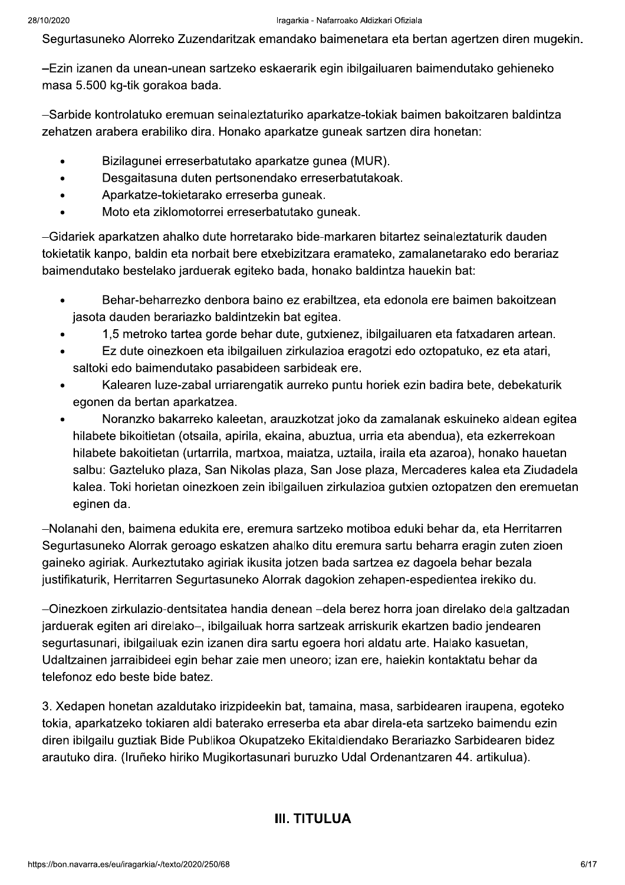Segurtasuneko Alorreko Zuzendaritzak emandako baimenetara eta bertan agertzen diren mugekin.

-Ezin izanen da unean-unean sartzeko eskaerarik egin ibilgailuaren baimendutako gehieneko masa 5.500 kg-tik gorakoa bada.

-Sarbide kontrolatuko eremuan seinaleztaturiko aparkatze-tokiak baimen bakoitzaren baldintza zehatzen arabera erabiliko dira. Honako aparkatze guneak sartzen dira honetan:

- Bizilagunei erreserbatutako aparkatze gunea (MUR).
- Desgaitasuna duten pertsonendako erreserbatutakoak.
- Aparkatze-tokietarako erreserba guneak.  $\bullet$
- Moto eta ziklomotorrei erreserbatutako guneak.

-Gidariek aparkatzen ahalko dute horretarako bide-markaren bitartez seinaleztaturik dauden tokietatik kanpo, baldin eta norbait bere etxebizitzara eramateko, zamalanetarako edo berariaz baimendutako bestelako jarduerak egiteko bada, honako baldintza hauekin bat:

- Behar-beharrezko denbora baino ez erabiltzea, eta edonola ere baimen bakoitzean  $\bullet$ jasota dauden berariazko baldintzekin bat egitea.
- 1,5 metroko tartea gorde behar dute, gutxienez, ibilgailuaren eta fatxadaren artean.
- Ez dute oinezkoen eta ibilgailuen zirkulazioa eragotzi edo oztopatuko, ez eta atari,  $\bullet$ saltoki edo baimendutako pasabideen sarbideak ere.
- Kalearen luze-zabal urriarengatik aurreko puntu horiek ezin badira bete, debekaturik  $\bullet$ egonen da bertan aparkatzea.
- Noranzko bakarreko kaleetan, arauzkotzat joko da zamalanak eskuineko aldean egitea  $\bullet$ hilabete bikoitietan (otsaila, apirila, ekaina, abuztua, urria eta abendua), eta ezkerrekoan hilabete bakoitietan (urtarrila, martxoa, maiatza, uztaila, iraila eta azaroa), honako hauetan salbu: Gazteluko plaza, San Nikolas plaza, San Jose plaza, Mercaderes kalea eta Ziudadela kalea. Toki horietan oinezkoen zein ibilgailuen zirkulazioa gutxien oztopatzen den eremuetan eginen da.

-Nolanahi den, baimena edukita ere, eremura sartzeko motiboa eduki behar da, eta Herritarren Segurtasuneko Alorrak geroago eskatzen ahalko ditu eremura sartu beharra eragin zuten zioen gaineko agiriak. Aurkeztutako agiriak ikusita jotzen bada sartzea ez dagoela behar bezala justifikaturik, Herritarren Segurtasuneko Alorrak dagokion zehapen-espedientea irekiko du.

-Oinezkoen zirkulazio-dentsitatea handia denean -dela berez horra joan direlako dela galtzadan jarduerak egiten ari direlako-, ibilgailuak horra sartzeak arriskurik ekartzen badio jendearen segurtasunari, ibilgailuak ezin izanen dira sartu egoera hori aldatu arte. Halako kasuetan, Udaltzainen jarraibideei egin behar zaie men uneoro; izan ere, haiekin kontaktatu behar da telefonoz edo beste bide batez.

3. Xedapen honetan azaldutako irizpideekin bat, tamaina, masa, sarbidearen iraupena, egoteko tokia, aparkatzeko tokiaren aldi baterako erreserba eta abar direla-eta sartzeko baimendu ezin diren ibilgailu guztiak Bide Publikoa Okupatzeko Ekitaldiendako Berariazko Sarbidearen bidez arautuko dira. (Iruñeko hiriko Mugikortasunari buruzko Udal Ordenantzaren 44. artikulua).

#### **III. TITULUA**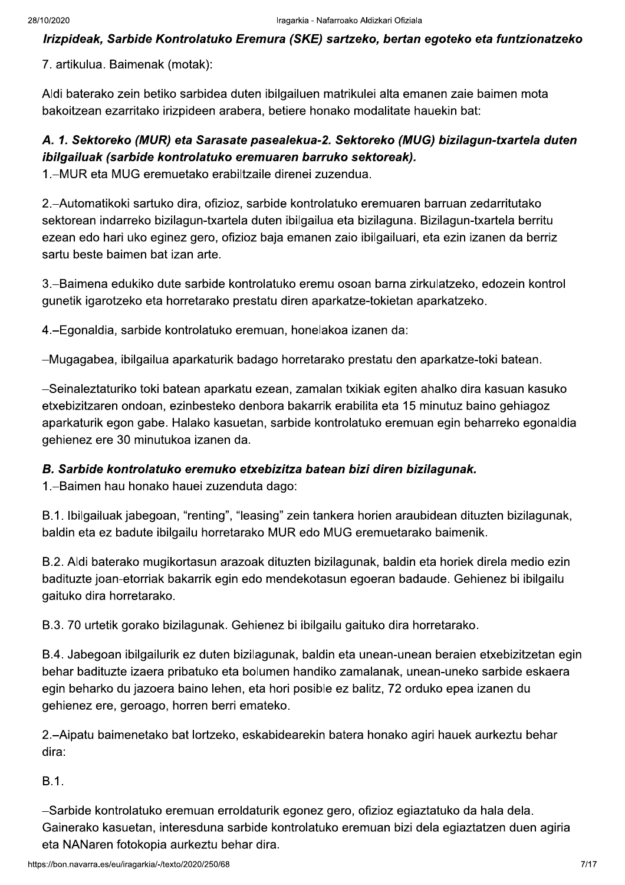Irizpideak, Sarbide Kontrolatuko Eremura (SKE) sartzeko, bertan egoteko eta funtzionatzeko

7. artikulua. Baimenak (motak):

Aldi baterako zein betiko sarbidea duten ibilgailuen matrikulei alta emanen zaie baimen mota bakoitzean ezarritako irizpideen arabera, betiere honako modalitate hauekin bat:

# A. 1. Sektoreko (MUR) eta Sarasate pasealekua-2. Sektoreko (MUG) bizilagun-txartela duten ibilgailuak (sarbide kontrolatuko eremuaren barruko sektoreak).

1. – MUR eta MUG eremuetako erabiltzaile direnei zuzendua.

2.-Automatikoki sartuko dira, ofizioz, sarbide kontrolatuko eremuaren barruan zedarritutako sektorean indarreko bizilagun-txartela duten ibilgailua eta bizilaguna. Bizilagun-txartela berritu ezean edo hari uko eginez gero, ofizioz baja emanen zaio ibilgailuari, eta ezin izanen da berriz sartu beste baimen bat izan arte.

3.–Baimena edukiko dute sarbide kontrolatuko eremu osoan barna zirkulatzeko, edozein kontrol gunetik igarotzeko eta horretarako prestatu diren aparkatze-tokietan aparkatzeko.

4.-Egonaldia, sarbide kontrolatuko eremuan, honelakoa izanen da:

-Mugagabea, ibilgailua aparkaturik badago horretarako prestatu den aparkatze-toki batean.

-Seinaleztaturiko toki batean aparkatu ezean, zamalan txikiak egiten ahalko dira kasuan kasuko etxebizitzaren ondoan, ezinbesteko denbora bakarrik erabilita eta 15 minutuz baino gehiagoz aparkaturik egon gabe. Halako kasuetan, sarbide kontrolatuko eremuan egin beharreko egonaldia gehienez ere 30 minutukoa izanen da.

#### B. Sarbide kontrolatuko eremuko etxebizitza batean bizi diren bizilagunak.

1. - Baimen hau honako hauei zuzenduta dago:

B.1. Ibilgailuak jabegoan, "renting", "leasing" zein tankera horien araubidean dituzten bizilagunak. baldin eta ez badute ibilgailu horretarako MUR edo MUG eremuetarako baimenik.

B.2. Aldi baterako mugikortasun arazoak dituzten bizilagunak, baldin eta horiek direla medio ezin badituzte joan-etorriak bakarrik egin edo mendekotasun egoeran badaude. Gehienez bi ibilgailu gaituko dira horretarako.

B.3. 70 urtetik gorako bizilagunak. Gehienez bi ibilgailu gaituko dira horretarako.

B.4. Jabegoan ibilgailurik ez duten bizilagunak, baldin eta unean-unean beraien etxebizitzetan egin behar badituzte izaera pribatuko eta bolumen handiko zamalanak, unean-uneko sarbide eskaera egin beharko du jazoera baino lehen, eta hori posible ez balitz, 72 orduko epea izanen du gehienez ere, geroago, horren berri emateko.

2.–Aipatu baimenetako bat lortzeko, eskabidearekin batera honako agiri hauek aurkeztu behar dira:

 $B.1.$ 

-Sarbide kontrolatuko eremuan erroldaturik egonez gero, ofizioz egiaztatuko da hala dela. Gainerako kasuetan, interesduna sarbide kontrolatuko eremuan bizi dela egiaztatzen duen agiria eta NANaren fotokopia aurkeztu behar dira.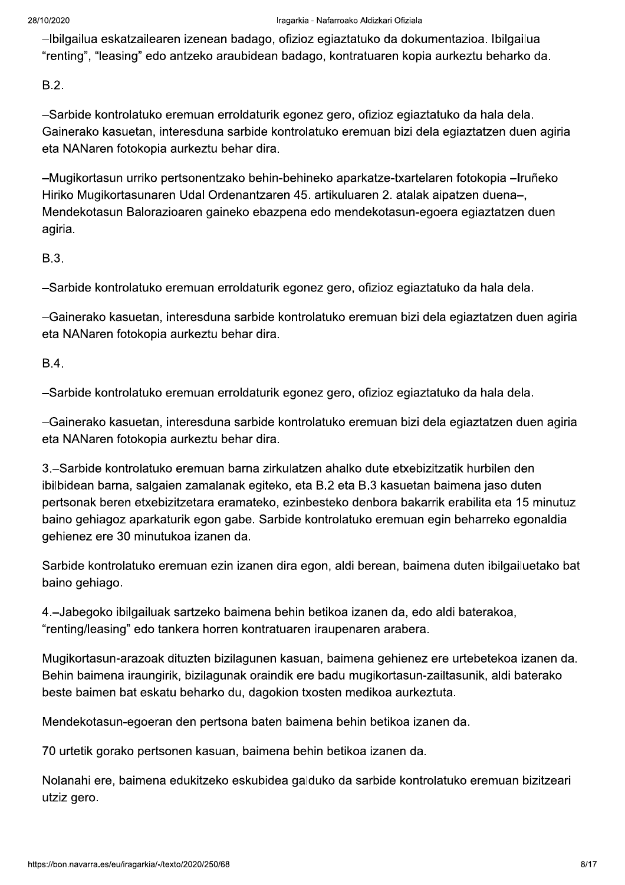-Ibilgailua eskatzailearen izenean badago, ofizioz egiaztatuko da dokumentazioa. Ibilgailua "renting", "leasing" edo antzeko araubidean badago, kontratuaren kopia aurkeztu beharko da.

 $B.2.$ 

-Sarbide kontrolatuko eremuan erroldaturik egonez gero, ofizioz egiaztatuko da hala dela. Gainerako kasuetan, interesduna sarbide kontrolatuko eremuan bizi dela egiaztatzen duen agiria eta NANaren fotokopia aurkeztu behar dira.

-Mugikortasun urriko pertsonentzako behin-behineko aparkatze-txartelaren fotokopia -Iruñeko Hiriko Mugikortasunaren Udal Ordenantzaren 45. artikuluaren 2. atalak aipatzen duena-, Mendekotasun Balorazioaren gaineko ebazpena edo mendekotasun-egoera egiaztatzen duen agiria.

B.3.

-Sarbide kontrolatuko eremuan erroldaturik egonez gero, ofizioz egiaztatuko da hala dela.

-Gainerako kasuetan, interesduna sarbide kontrolatuko eremuan bizi dela egiaztatzen duen agiria eta NANaren fotokopia aurkeztu behar dira.

 $B.4.$ 

-Sarbide kontrolatuko eremuan erroldaturik egonez gero, ofizioz egiaztatuko da hala dela.

-Gainerako kasuetan, interesduna sarbide kontrolatuko eremuan bizi dela egiaztatzen duen agiria eta NANaren fotokopia aurkeztu behar dira.

3.–Sarbide kontrolatuko eremuan barna zirkulatzen ahalko dute etxebizitzatik hurbilen den ibilbidean barna, salgaien zamalanak egiteko, eta B.2 eta B.3 kasuetan baimena jaso duten pertsonak beren etxebizitzetara eramateko, ezinbesteko denbora bakarrik erabilita eta 15 minutuz baino gehiagoz aparkaturik egon gabe. Sarbide kontrolatuko eremuan egin beharreko egonaldia gehienez ere 30 minutukoa izanen da.

Sarbide kontrolatuko eremuan ezin izanen dira egon, aldi berean, baimena duten ibilgailuetako bat baino gehiago.

4. - Jabegoko ibilgailuak sartzeko baimena behin betikoa izanen da, edo aldi baterakoa, "renting/leasing" edo tankera horren kontratuaren iraupenaren arabera.

Mugikortasun-arazoak dituzten bizilagunen kasuan, baimena gehienez ere urtebetekoa izanen da. Behin baimena iraungirik, bizilagunak oraindik ere badu mugikortasun-zailtasunik, aldi baterako beste baimen bat eskatu beharko du, dagokion txosten medikoa aurkeztuta.

Mendekotasun-egoeran den pertsona baten baimena behin betikoa izanen da.

70 urtetik gorako pertsonen kasuan, baimena behin betikoa izanen da.

Nolanahi ere, baimena edukitzeko eskubidea galduko da sarbide kontrolatuko eremuan bizitzeari utziz gero.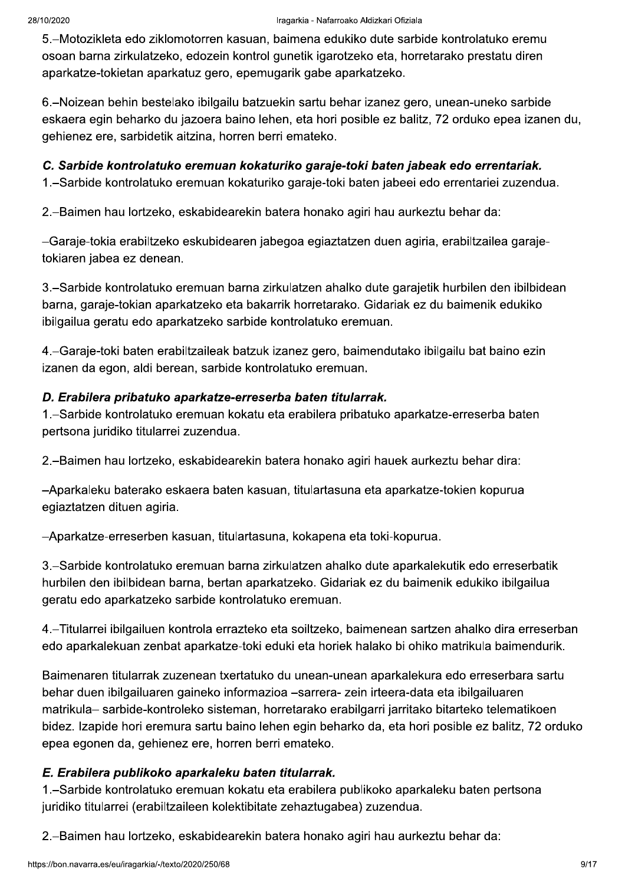5.–Motozikleta edo ziklomotorren kasuan, baimena edukiko dute sarbide kontrolatuko eremu osoan barna zirkulatzeko, edozein kontrol gunetik igarotzeko eta, horretarako prestatu diren aparkatze-tokietan aparkatuz gero, epemugarik gabe aparkatzeko.

6.–Noizean behin bestelako ibilgailu batzuekin sartu behar izanez gero, unean-uneko sarbide eskaera egin beharko du jazoera baino lehen, eta hori posible ez balitz, 72 orduko epea izanen du, gehienez ere, sarbidetik aitzina, horren berri emateko.

#### C. Sarbide kontrolatuko eremuan kokaturiko garaje-toki baten jabeak edo errentariak.

1.–Sarbide kontrolatuko eremuan kokaturiko garaje-toki baten jabeei edo errentariei zuzendua.

2.–Baimen hau lortzeko, eskabidearekin batera honako agiri hau aurkeztu behar da:

-Garaje-tokia erabiltzeko eskubidearen jabegoa egiaztatzen duen agiria, erabiltzailea garajetokiaren jabea ez denean.

3.–Sarbide kontrolatuko eremuan barna zirkulatzen ahalko dute garajetik hurbilen den ibilbidean barna, garaje-tokian aparkatzeko eta bakarrik horretarako. Gidariak ez du baimenik edukiko ibilgailua geratu edo aparkatzeko sarbide kontrolatuko eremuan.

4. - Garaje-toki baten erabiltzaileak batzuk izanez gero, baimendutako ibilgailu bat baino ezin izanen da egon, aldi berean, sarbide kontrolatuko eremuan.

#### D. Erabilera pribatuko aparkatze-erreserba baten titularrak.

1.–Sarbide kontrolatuko eremuan kokatu eta erabilera pribatuko aparkatze-erreserba baten pertsona juridiko titularrei zuzendua.

2.–Baimen hau lortzeko, eskabidearekin batera honako agiri hauek aurkeztu behar dira:

-Aparkaleku baterako eskaera baten kasuan, titulartasuna eta aparkatze-tokien kopurua egiaztatzen dituen agiria.

-Aparkatze-erreserben kasuan, titulartasuna, kokapena eta toki-kopurua.

3.–Sarbide kontrolatuko eremuan barna zirkulatzen ahalko dute aparkalekutik edo erreserbatik hurbilen den ibilbidean barna, bertan aparkatzeko. Gidariak ez du baimenik edukiko ibilgailua geratu edo aparkatzeko sarbide kontrolatuko eremuan.

4.-Titularrei ibilgailuen kontrola errazteko eta soiltzeko, baimenean sartzen ahalko dira erreserban edo aparkalekuan zenbat aparkatze-toki eduki eta horiek halako bi ohiko matrikula baimendurik.

Baimenaren titularrak zuzenean txertatuko du unean-unean aparkalekura edo erreserbara sartu behar duen ibilgailuaren gaineko informazioa -sarrera- zein irteera-data eta ibilgailuaren matrikula- sarbide-kontroleko sisteman, horretarako erabilgarri jarritako bitarteko telematikoen bidez. Izapide hori eremura sartu baino lehen egin beharko da, eta hori posible ez balitz, 72 orduko epea egonen da, gehienez ere, horren berri emateko.

#### E. Erabilera publikoko aparkaleku baten titularrak.

1.–Sarbide kontrolatuko eremuan kokatu eta erabilera publikoko aparkaleku baten pertsona juridiko titularrei (erabiltzaileen kolektibitate zehaztugabea) zuzendua.

2.-Baimen hau lortzeko, eskabidearekin batera honako agiri hau aurkeztu behar da: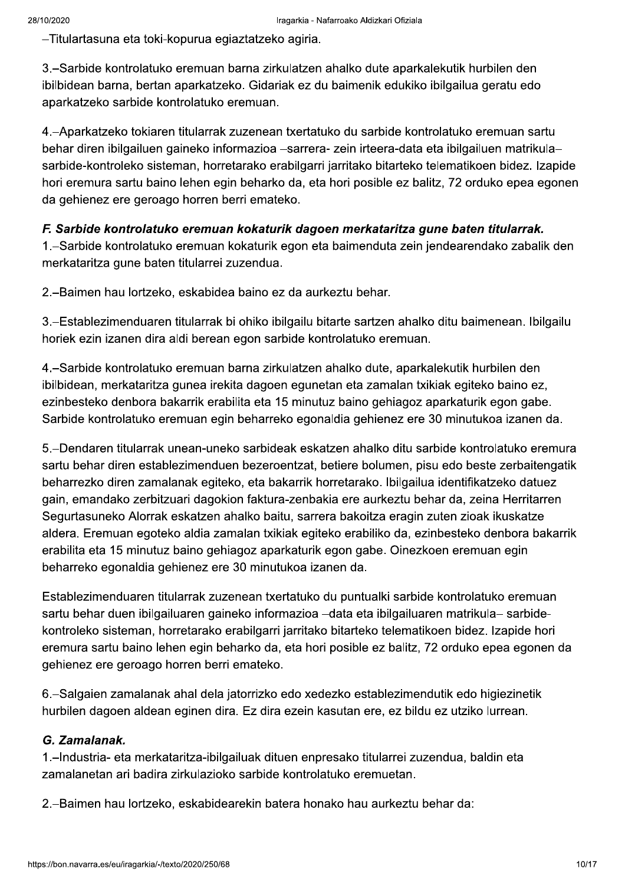-Titulartasuna eta toki-kopurua egiaztatzeko agiria.

3.–Sarbide kontrolatuko eremuan barna zirkulatzen ahalko dute aparkalekutik hurbilen den ibilbidean barna, bertan aparkatzeko. Gidariak ez du baimenik edukiko ibilgailua geratu edo aparkatzeko sarbide kontrolatuko eremuan.

4. - Aparkatzeko tokiaren titularrak zuzenean txertatuko du sarbide kontrolatuko eremuan sartu behar diren ibilgailuen gaineko informazioa -sarrera- zein irteera-data eta ibilgailuen matrikulasarbide-kontroleko sisteman, horretarako erabilgarri jarritako bitarteko telematikoen bidez. Izapide hori eremura sartu baino lehen egin beharko da, eta hori posible ez balitz, 72 orduko epea egonen da gehienez ere geroago horren berri emateko.

#### F. Sarbide kontrolatuko eremuan kokaturik dagoen merkataritza gune baten titularrak.

1.–Sarbide kontrolatuko eremuan kokaturik egon eta baimenduta zein jendearendako zabalik den merkataritza gune baten titularrei zuzendua.

2.-Baimen hau lortzeko, eskabidea baino ez da aurkeztu behar.

3.–Establezimenduaren titularrak bi ohiko ibilgailu bitarte sartzen ahalko ditu baimenean. Ibilgailu horiek ezin izanen dira aldi berean egon sarbide kontrolatuko eremuan.

4.–Sarbide kontrolatuko eremuan barna zirkulatzen ahalko dute, aparkalekutik hurbilen den ibilbidean, merkataritza gunea irekita dagoen egunetan eta zamalan txikiak egiteko baino ez, ezinbesteko denbora bakarrik erabilita eta 15 minutuz baino gehiagoz aparkaturik egon gabe. Sarbide kontrolatuko eremuan egin beharreko egonaldia gehienez ere 30 minutukoa izanen da.

5.–Dendaren titularrak unean-uneko sarbideak eskatzen ahalko ditu sarbide kontrolatuko eremura sartu behar diren establezimenduen bezeroentzat, betiere bolumen, pisu edo beste zerbaitengatik beharrezko diren zamalanak egiteko, eta bakarrik horretarako. Ibilgailua identifikatzeko datuez gain, emandako zerbitzuari dagokion faktura-zenbakia ere aurkeztu behar da, zeina Herritarren Segurtasuneko Alorrak eskatzen ahalko baitu, sarrera bakoitza eragin zuten zioak ikuskatze aldera. Eremuan egoteko aldia zamalan txikiak egiteko erabiliko da, ezinbesteko denbora bakarrik erabilita eta 15 minutuz baino gehiagoz aparkaturik egon gabe. Oinezkoen eremuan egin beharreko egonaldia gehienez ere 30 minutukoa izanen da.

Establezimenduaren titularrak zuzenean txertatuko du puntualki sarbide kontrolatuko eremuan sartu behar duen ibilgailuaren gaineko informazioa -data eta ibilgailuaren matrikula- sarbidekontroleko sisteman, horretarako erabilgarri jarritako bitarteko telematikoen bidez. Izapide hori eremura sartu baino lehen egin beharko da, eta hori posible ez balitz, 72 orduko epea egonen da gehienez ere geroago horren berri emateko.

6.–Salgaien zamalanak ahal dela jatorrizko edo xedezko establezimendutik edo higiezinetik hurbilen dagoen aldean eginen dira. Ez dira ezein kasutan ere, ez bildu ez utziko lurrean.

#### G. Zamalanak.

1. - Industria- eta merkataritza-ibilgailuak dituen enpresako titularrei zuzendua, baldin eta zamalanetan ari badira zirkulazioko sarbide kontrolatuko eremuetan.

2.–Baimen hau lortzeko, eskabidearekin batera honako hau aurkeztu behar da: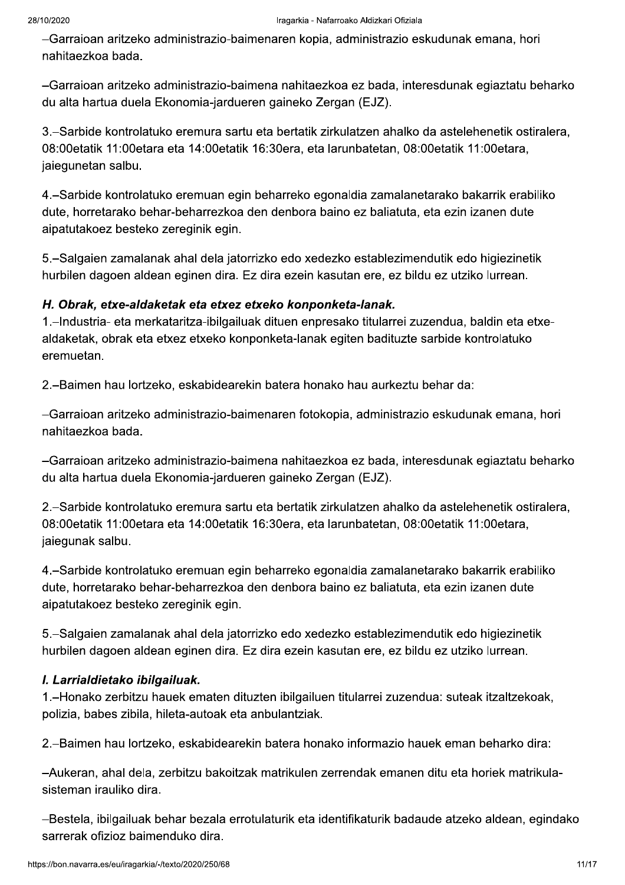-Garraioan aritzeko administrazio-baimenaren kopia, administrazio eskudunak emana, hori nahitaezkoa bada.

-Garraioan aritzeko administrazio-baimena nahitaezkoa ez bada, interesdunak egiaztatu beharko du alta hartua duela Ekonomia-jardueren gaineko Zergan (EJZ).

3.–Sarbide kontrolatuko eremura sartu eta bertatik zirkulatzen ahalko da astelehenetik ostiralera, 08:00etatik 11:00etara eta 14:00etatik 16:30era, eta larunbatetan, 08:00etatik 11:00etara, jaiegunetan salbu.

4. – Sarbide kontrolatuko eremuan egin beharreko egonaldia zamalanetarako bakarrik erabiliko dute, horretarako behar-beharrezkoa den denbora baino ez baliatuta, eta ezin izanen dute aipatutakoez besteko zereginik egin.

5.–Salgaien zamalanak ahal dela jatorrizko edo xedezko establezimendutik edo higiezinetik hurbilen dagoen aldean eginen dira. Ez dira ezein kasutan ere, ez bildu ez utziko lurrean.

#### H. Obrak, etxe-aldaketak eta etxez etxeko konponketa-lanak.

1. Industria- eta merkataritza-ibilgailuak dituen enpresako titularrei zuzendua, baldin eta etxealdaketak, obrak eta etxez etxeko konponketa-lanak egiten badituzte sarbide kontrolatuko eremuetan.

2.-Baimen hau lortzeko, eskabidearekin batera honako hau aurkeztu behar da:

-Garraioan aritzeko administrazio-baimenaren fotokopia, administrazio eskudunak emana, hori nahitaezkoa bada.

-Garraioan aritzeko administrazio-baimena nahitaezkoa ez bada, interesdunak egiaztatu beharko du alta hartua duela Ekonomia-jardueren gaineko Zergan (EJZ).

2.–Sarbide kontrolatuko eremura sartu eta bertatik zirkulatzen ahalko da astelehenetik ostiralera. 08:00etatik 11:00etara eta 14:00etatik 16:30era, eta larunbatetan, 08:00etatik 11:00etara, jaiegunak salbu.

4.–Sarbide kontrolatuko eremuan egin beharreko egonaldia zamalanetarako bakarrik erabiliko dute, horretarako behar-beharrezkoa den denbora baino ez baliatuta, eta ezin izanen dute aipatutakoez besteko zereginik egin.

5.–Salgaien zamalanak ahal dela jatorrizko edo xedezko establezimendutik edo higiezinetik hurbilen dagoen aldean eginen dira. Ez dira ezein kasutan ere, ez bildu ez utziko lurrean.

#### I. Larrialdietako ibilgailuak.

1. – Honako zerbitzu hauek ematen dituzten ibilgailuen titularrei zuzendua: suteak itzaltzekoak, polizia, babes zibila, hileta-autoak eta anbulantziak.

2.–Baimen hau lortzeko, eskabidearekin batera honako informazio hauek eman beharko dira:

-Aukeran, ahal dela, zerbitzu bakoitzak matrikulen zerrendak emanen ditu eta horiek matrikulasisteman irauliko dira.

-Bestela, ibilgailuak behar bezala errotulaturik eta identifikaturik badaude atzeko aldean, egindako sarrerak ofizioz baimenduko dira.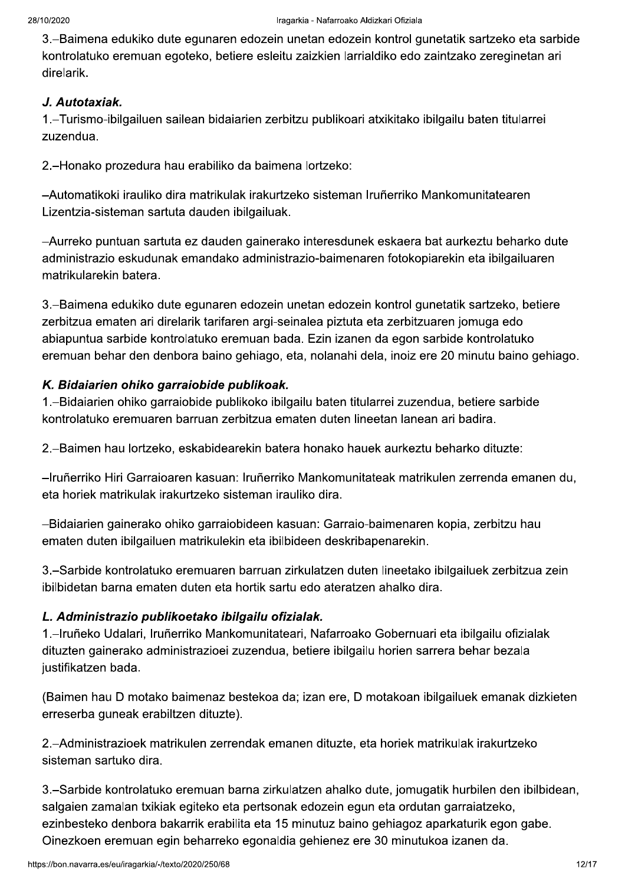3.–Baimena edukiko dute egunaren edozein unetan edozein kontrol gunetatik sartzeko eta sarbide kontrolatuko eremuan egoteko, betiere esleitu zaizkien larrialdiko edo zaintzako zereginetan ari direlarik.

#### J. Autotaxiak.

1.–Turismo-ibilgailuen sailean bidaiarien zerbitzu publikoari atxikitako ibilgailu baten titularrei zuzendua.

2.-Honako prozedura hau erabiliko da baimena lortzeko:

-Automatikoki irauliko dira matrikulak irakurtzeko sisteman Iruñerriko Mankomunitatearen Lizentzia-sisteman sartuta dauden ibilgailuak.

-Aurreko puntuan sartuta ez dauden gainerako interesdunek eskaera bat aurkeztu beharko dute administrazio eskudunak emandako administrazio-baimenaren fotokopiarekin eta ibilgailuaren matrikularekin batera.

3.–Baimena edukiko dute egunaren edozein unetan edozein kontrol gunetatik sartzeko, betiere zerbitzua ematen ari direlarik tarifaren argi-seinalea piztuta eta zerbitzuaren jomuga edo abiapuntua sarbide kontrolatuko eremuan bada. Ezin izanen da egon sarbide kontrolatuko eremuan behar den denbora baino gehiago, eta, nolanahi dela, inoiz ere 20 minutu baino gehiago.

## K. Bidaiarien ohiko garraiobide publikoak.

1.-Bidaiarien ohiko garraiobide publikoko ibilgailu baten titularrei zuzendua, betiere sarbide kontrolatuko eremuaren barruan zerbitzua ematen duten lineetan lanean ari badira.

2.–Baimen hau lortzeko, eskabidearekin batera honako hauek aurkeztu beharko dituzte:

-Iruñerriko Hiri Garraioaren kasuan: Iruñerriko Mankomunitateak matrikulen zerrenda emanen du. eta horiek matrikulak irakurtzeko sisteman irauliko dira.

-Bidaiarien gainerako ohiko garraiobideen kasuan: Garraio-baimenaren kopia, zerbitzu hau ematen duten ibilgailuen matrikulekin eta ibilbideen deskribapenarekin.

3.–Sarbide kontrolatuko eremuaren barruan zirkulatzen duten lineetako ibilgailuek zerbitzua zein ibilbidetan barna ematen duten eta hortik sartu edo ateratzen ahalko dira.

# L. Administrazio publikoetako ibilgailu ofizialak.

1.–Iruñeko Udalari, Iruñerriko Mankomunitateari, Nafarroako Gobernuari eta ibilgailu ofizialak dituzten gainerako administrazioei zuzendua, betiere ibilgailu horien sarrera behar bezala justifikatzen bada.

(Baimen hau D motako baimenaz bestekoa da; izan ere, D motakoan ibilgailuek emanak dizkieten erreserba guneak erabiltzen dituzte).

2.–Administrazioek matrikulen zerrendak emanen dituzte, eta horiek matrikulak irakurtzeko sisteman sartuko dira.

3.–Sarbide kontrolatuko eremuan barna zirkulatzen ahalko dute, jomugatik hurbilen den ibilbidean, salgaien zamalan txikiak egiteko eta pertsonak edozein egun eta ordutan garraiatzeko, ezinbesteko denbora bakarrik erabilita eta 15 minutuz baino gehiagoz aparkaturik egon gabe. Oinezkoen eremuan egin beharreko egonaldia gehienez ere 30 minutukoa izanen da.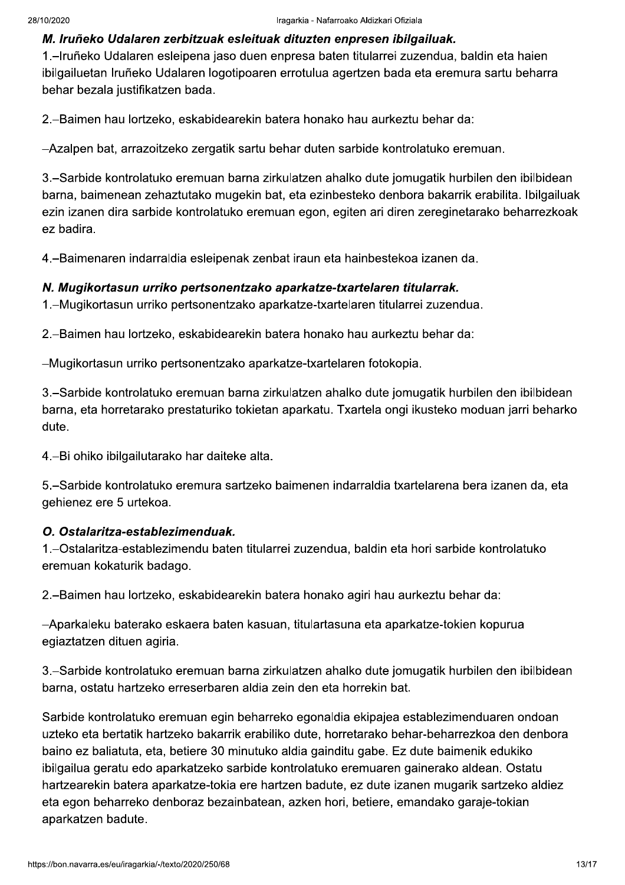#### M. Iruñeko Udalaren zerbitzuak esleituak dituzten enpresen ibilgailuak.

1.–Iruñeko Udalaren esleipena jaso duen enpresa baten titularrei zuzendua, baldin eta haien ibilgailuetan Iruñeko Udalaren logotipoaren errotulua agertzen bada eta eremura sartu beharra behar bezala justifikatzen bada.

2.–Baimen hau lortzeko, eskabidearekin batera honako hau aurkeztu behar da:

-Azalpen bat, arrazoitzeko zergatik sartu behar duten sarbide kontrolatuko eremuan.

3.–Sarbide kontrolatuko eremuan barna zirkulatzen ahalko dute jomugatik hurbilen den ibilbidean barna, baimenean zehaztutako mugekin bat, eta ezinbesteko denbora bakarrik erabilita. Ibilgailuak ezin izanen dira sarbide kontrolatuko eremuan egon, egiten ari diren zereginetarako beharrezkoak ez badira.

4. - Baimenaren indarraldia esleipenak zenbat iraun eta hainbestekoa izanen da.

#### N. Mugikortasun urriko pertsonentzako aparkatze-txartelaren titularrak.

1. – Mugikortasun urriko pertsonentzako aparkatze-txartelaren titularrei zuzendua.

2.-Baimen hau lortzeko, eskabidearekin batera honako hau aurkeztu behar da:

-Mugikortasun urriko pertsonentzako aparkatze-txartelaren fotokopia.

3.–Sarbide kontrolatuko eremuan barna zirkulatzen ahalko dute jomugatik hurbilen den ibilbidean barna, eta horretarako prestaturiko tokietan aparkatu. Txartela ongi ikusteko moduan jarri beharko dute.

4.-Bi ohiko ibilgailutarako har daiteke alta.

5.–Sarbide kontrolatuko eremura sartzeko baimenen indarraldia txartelarena bera izanen da, eta gehienez ere 5 urtekoa.

#### O. Ostalaritza-establezimenduak.

1.–Ostalaritza-establezimendu baten titularrei zuzendua, baldin eta hori sarbide kontrolatuko eremuan kokaturik badago.

2.–Baimen hau lortzeko, eskabidearekin batera honako agiri hau aurkeztu behar da:

-Aparkaleku baterako eskaera baten kasuan, titulartasuna eta aparkatze-tokien kopurua egiaztatzen dituen agiria.

3.–Sarbide kontrolatuko eremuan barna zirkulatzen ahalko dute jomugatik hurbilen den ibilbidean barna, ostatu hartzeko erreserbaren aldia zein den eta horrekin bat.

Sarbide kontrolatuko eremuan egin beharreko egonaldia ekipajea establezimenduaren ondoan uzteko eta bertatik hartzeko bakarrik erabiliko dute, horretarako behar-beharrezkoa den denbora baino ez baliatuta, eta, betiere 30 minutuko aldia gainditu gabe. Ez dute baimenik edukiko ibilgailua geratu edo aparkatzeko sarbide kontrolatuko eremuaren gainerako aldean. Ostatu hartzearekin batera aparkatze-tokia ere hartzen badute, ez dute izanen mugarik sartzeko aldiez eta egon beharreko denboraz bezainbatean, azken hori, betiere, emandako garaje-tokian aparkatzen badute.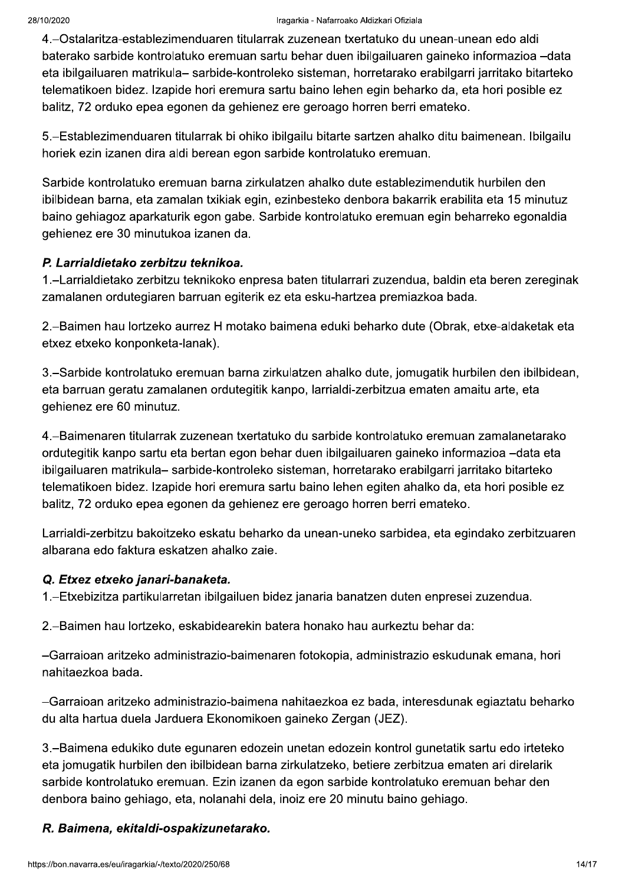#### Iragarkia - Nafarroako Aldizkari Ofiziala

4. - Ostalaritza-establezimenduaren titularrak zuzenean txertatuko du unean-unean edo aldi baterako sarbide kontrolatuko eremuan sartu behar duen ibilgailuaren gaineko informazioa -data eta ibilgailuaren matrikula- sarbide-kontroleko sisteman, horretarako erabilgarri jarritako bitarteko telematikoen bidez. Izapide hori eremura sartu baino lehen egin beharko da, eta hori posible ez balitz, 72 orduko epea egonen da gehienez ere geroago horren berri emateko.

5.–Establezimenduaren titularrak bi ohiko ibilgailu bitarte sartzen ahalko ditu baimenean. Ibilgailu horiek ezin izanen dira aldi berean egon sarbide kontrolatuko eremuan.

Sarbide kontrolatuko eremuan barna zirkulatzen ahalko dute establezimendutik hurbilen den ibilbidean barna, eta zamalan txikiak egin, ezinbesteko denbora bakarrik erabilita eta 15 minutuz baino gehiagoz aparkaturik egon gabe. Sarbide kontrolatuko eremuan egin beharreko egonaldia gehienez ere 30 minutukoa izanen da.

#### P. Larrialdietako zerbitzu teknikoa.

1.-Larrialdietako zerbitzu teknikoko enpresa baten titularrari zuzendua, baldin eta beren zereginak zamalanen ordutegiaren barruan egiterik ez eta esku-hartzea premiazkoa bada.

2.-Baimen hau lortzeko aurrez H motako baimena eduki beharko dute (Obrak, etxe-aldaketak eta etxez etxeko konponketa-lanak).

3.–Sarbide kontrolatuko eremuan barna zirkulatzen ahalko dute, jomugatik hurbilen den ibilbidean, eta barruan geratu zamalanen ordutegitik kanpo, larrialdi-zerbitzua ematen amaitu arte, eta gehienez ere 60 minutuz.

4.–Baimenaren titularrak zuzenean txertatuko du sarbide kontrolatuko eremuan zamalanetarako ordutegitik kanpo sartu eta bertan egon behar duen ibilgailuaren gaineko informazioa -data eta ibilgailuaren matrikula- sarbide-kontroleko sisteman, horretarako erabilgarri jarritako bitarteko telematikoen bidez. Izapide hori eremura sartu baino lehen egiten ahalko da, eta hori posible ez balitz, 72 orduko epea egonen da gehienez ere geroago horren berri emateko.

Larrialdi-zerbitzu bakoitzeko eskatu beharko da unean-uneko sarbidea, eta egindako zerbitzuaren albarana edo faktura eskatzen ahalko zaie.

#### Q. Etxez etxeko janari-banaketa.

1.-Etxebizitza partikularretan ibilgailuen bidez janaria banatzen duten enpresei zuzendua.

2.-Baimen hau lortzeko, eskabidearekin batera honako hau aurkeztu behar da:

-Garraioan aritzeko administrazio-baimenaren fotokopia, administrazio eskudunak emana, hori nahitaezkoa bada.

-Garraioan aritzeko administrazio-baimena nahitaezkoa ez bada, interesdunak egiaztatu beharko du alta hartua duela Jarduera Ekonomikoen gaineko Zergan (JEZ).

3.–Baimena edukiko dute egunaren edozein unetan edozein kontrol gunetatik sartu edo irteteko eta jomugatik hurbilen den ibilbidean barna zirkulatzeko, betiere zerbitzua ematen ari direlarik sarbide kontrolatuko eremuan. Ezin izanen da egon sarbide kontrolatuko eremuan behar den denbora baino gehiago, eta, nolanahi dela, inoiz ere 20 minutu baino gehiago.

#### R. Baimena, ekitaldi-ospakizunetarako.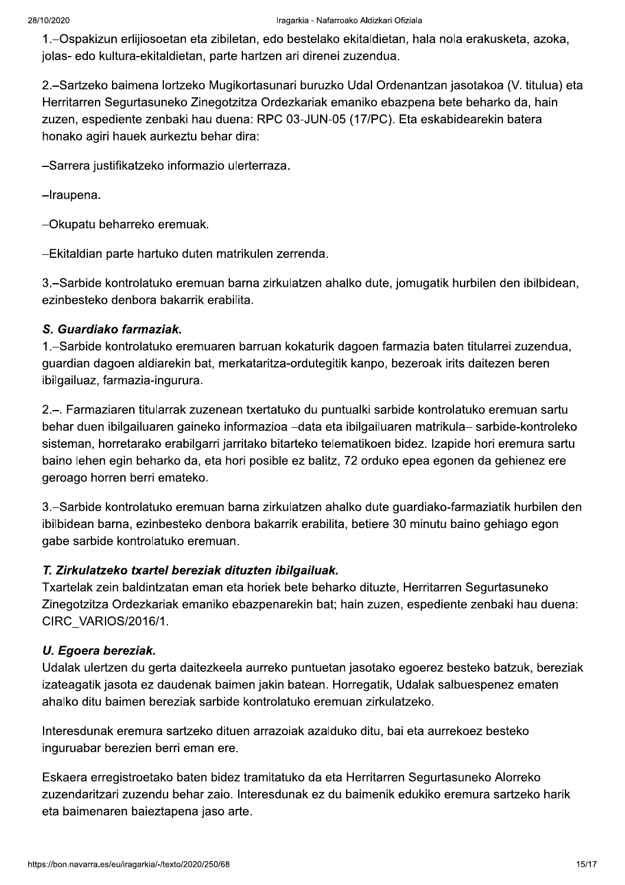1.–Ospakizun erlijiosoetan eta zibiletan, edo bestelako ekitaldietan, hala nola erakusketa, azoka, jolas- edo kultura-ekitaldietan, parte hartzen ari direnei zuzendua.

2.–Sartzeko baimena lortzeko Mugikortasunari buruzko Udal Ordenantzan jasotakoa (V. titulua) eta Herritarren Segurtasuneko Zinegotzitza Ordezkariak emaniko ebazpena bete beharko da, hain zuzen, espediente zenbaki hau duena: RPC 03-JUN-05 (17/PC). Eta eskabidearekin batera honako agiri hauek aurkeztu behar dira:

-Sarrera justifikatzeko informazio ulerterraza.

-Iraupena.

-Okupatu beharreko eremuak.

-Ekitaldian parte hartuko duten matrikulen zerrenda.

3.-Sarbide kontrolatuko eremuan barna zirkulatzen ahalko dute, jomugatik hurbilen den ibilbidean, ezinbesteko denbora bakarrik erabilita.

#### S. Guardiako farmaziak.

1.–Sarbide kontrolatuko eremuaren barruan kokaturik dagoen farmazia baten titularrei zuzendua, guardian dagoen aldiarekin bat, merkataritza-ordutegitik kanpo, bezeroak irits daitezen beren ibilgailuaz, farmazia-ingurura.

2.-. Farmaziaren titularrak zuzenean txertatuko du puntualki sarbide kontrolatuko eremuan sartu behar duen ibilgailuaren gaineko informazioa -data eta ibilgailuaren matrikula- sarbide-kontroleko sisteman, horretarako erabilgarri jarritako bitarteko telematikoen bidez. Izapide hori eremura sartu baino lehen egin beharko da, eta hori posible ez balitz, 72 orduko epea egonen da gehienez ere geroago horren berri emateko.

3.–Sarbide kontrolatuko eremuan barna zirkulatzen ahalko dute guardiako-farmaziatik hurbilen den ibilbidean barna, ezinbesteko denbora bakarrik erabilita, betiere 30 minutu baino gehiago egon gabe sarbide kontrolatuko eremuan.

#### T. Zirkulatzeko txartel bereziak dituzten ibilgailuak.

Txartelak zein baldintzatan eman eta horiek bete beharko dituzte, Herritarren Segurtasuneko Zinegotzitza Ordezkariak emaniko ebazpenarekin bat; hain zuzen, espediente zenbaki hau duena: CIRC VARIOS/2016/1.

#### U. Egoera bereziak.

Udalak ulertzen du gerta daitezkeela aurreko puntuetan jasotako egoerez besteko batzuk, bereziak izateagatik jasota ez daudenak baimen jakin batean. Horregatik, Udalak salbuespenez ematen ahalko ditu baimen bereziak sarbide kontrolatuko eremuan zirkulatzeko.

Interesdunak eremura sartzeko dituen arrazoiak azalduko ditu, bai eta aurrekoez besteko inguruabar berezien berri eman ere.

Eskaera erregistroetako baten bidez tramitatuko da eta Herritarren Segurtasuneko Alorreko zuzendaritzari zuzendu behar zaio. Interesdunak ez du baimenik edukiko eremura sartzeko harik eta baimenaren baieztapena jaso arte.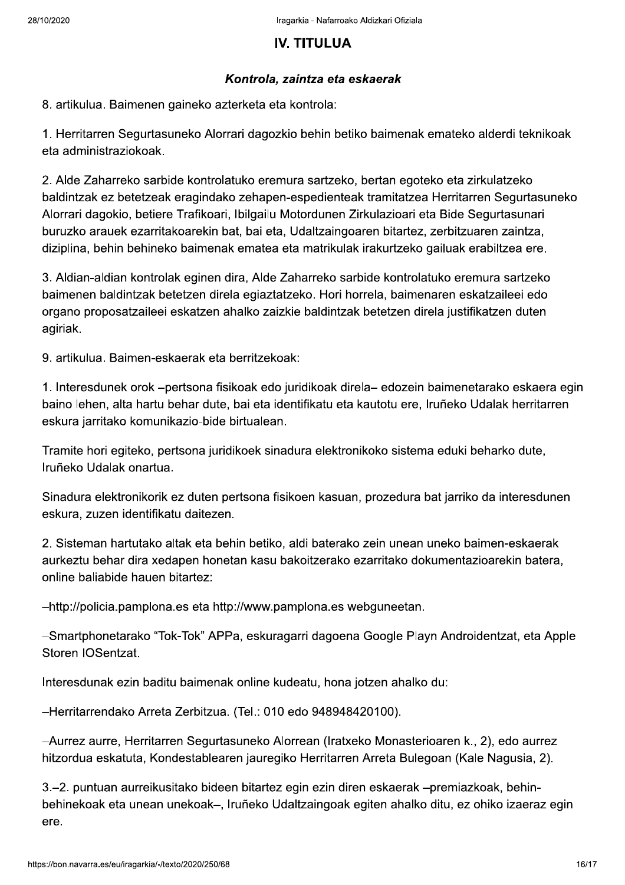# **IV. TITULUA**

#### Kontrola, zaintza eta eskaerak

8. artikulua. Baimenen gaineko azterketa eta kontrola:

1. Herritarren Segurtasuneko Alorrari dagozkio behin betiko baimenak emateko alderdi teknikoak eta administraziokoak.

2. Alde Zaharreko sarbide kontrolatuko eremura sartzeko, bertan egoteko eta zirkulatzeko baldintzak ez betetzeak eragindako zehapen-espedienteak tramitatzea Herritarren Segurtasuneko Alorrari dagokio, betiere Trafikoari, Ibilgailu Motordunen Zirkulazioari eta Bide Segurtasunari buruzko arauek ezarritakoarekin bat, bai eta, Udaltzaingoaren bitartez, zerbitzuaren zaintza, diziplina, behin behineko baimenak ematea eta matrikulak irakurtzeko gailuak erabiltzea ere.

3. Aldian-aldian kontrolak eginen dira, Alde Zaharreko sarbide kontrolatuko eremura sartzeko baimenen baldintzak betetzen direla egiaztatzeko. Hori horrela, baimenaren eskatzaileei edo organo proposatzaileei eskatzen ahalko zaizkie baldintzak betetzen direla justifikatzen duten agiriak.

9. artikulua. Baimen-eskaerak eta berritzekoak:

1. Interesdunek orok -pertsona fisikoak edo juridikoak direla- edozein baimenetarako eskaera egin baino lehen, alta hartu behar dute, bai eta identifikatu eta kautotu ere, Iruñeko Udalak herritarren eskura jarritako komunikazio-bide birtualean.

Tramite hori egiteko, pertsona juridikoek sinadura elektronikoko sistema eduki beharko dute, Iruñeko Udalak onartua.

Sinadura elektronikorik ez duten pertsona fisikoen kasuan, prozedura bat jarriko da interesdunen eskura, zuzen identifikatu daitezen.

2. Sisteman hartutako altak eta behin betiko, aldi baterako zein unean uneko baimen-eskaerak aurkeztu behar dira xedapen honetan kasu bakoitzerako ezarritako dokumentazioarekin batera, online baliabide hauen bitartez:

-http://policia.pamplona.es eta http://www.pamplona.es webguneetan.

-Smartphonetarako "Tok-Tok" APPa, eskuragarri dagoena Google Playn Androidentzat, eta Apple Storen IOSentzat.

Interesdunak ezin baditu baimenak online kudeatu, hona jotzen ahalko du:

-Herritarrendako Arreta Zerbitzua. (Tel.: 010 edo 948948420100).

-Aurrez aurre, Herritarren Segurtasuneko Alorrean (Iratxeko Monasterioaren k., 2), edo aurrez hitzordua eskatuta, Kondestablearen jauregiko Herritarren Arreta Bulegoan (Kale Nagusia, 2).

3.–2. puntuan aurreikusitako bideen bitartez egin ezin diren eskaerak –premiazkoak, behinbehinekoak eta unean unekoak-, Iruñeko Udaltzaingoak egiten ahalko ditu, ez ohiko izaeraz egin ere.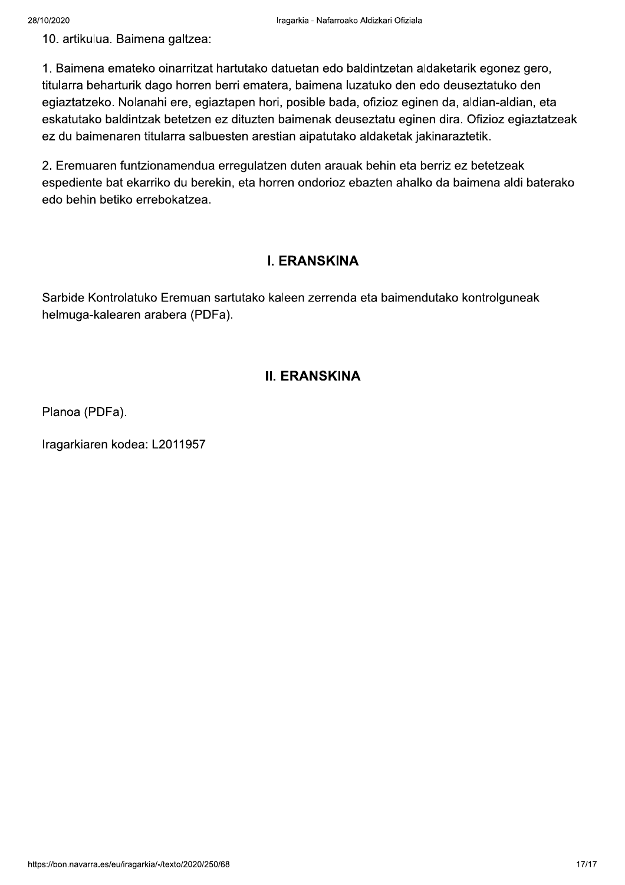10. artikulua. Baimena galtzea:

1. Baimena emateko oinarritzat hartutako datuetan edo baldintzetan aldaketarik egonez gero, titularra beharturik dago horren berri ematera, baimena luzatuko den edo deuseztatuko den egiaztatzeko. Nolanahi ere, egiaztapen hori, posible bada, ofizioz eginen da, aldian-aldian, eta eskatutako baldintzak betetzen ez dituzten baimenak deuseztatu eginen dira. Ofizioz egiaztatzeak ez du baimenaren titularra salbuesten arestian aipatutako aldaketak jakinaraztetik.

2. Eremuaren funtzionamendua erregulatzen duten arauak behin eta berriz ez betetzeak espediente bat ekarriko du berekin, eta horren ondorioz ebazten ahalko da baimena aldi baterako edo behin betiko errebokatzea.

# **I. ERANSKINA**

Sarbide Kontrolatuko Eremuan sartutako kaleen zerrenda eta baimendutako kontrolguneak helmuga-kalearen arabera (PDFa).

# **II. ERANSKINA**

Planoa (PDFa).

Iragarkiaren kodea: L2011957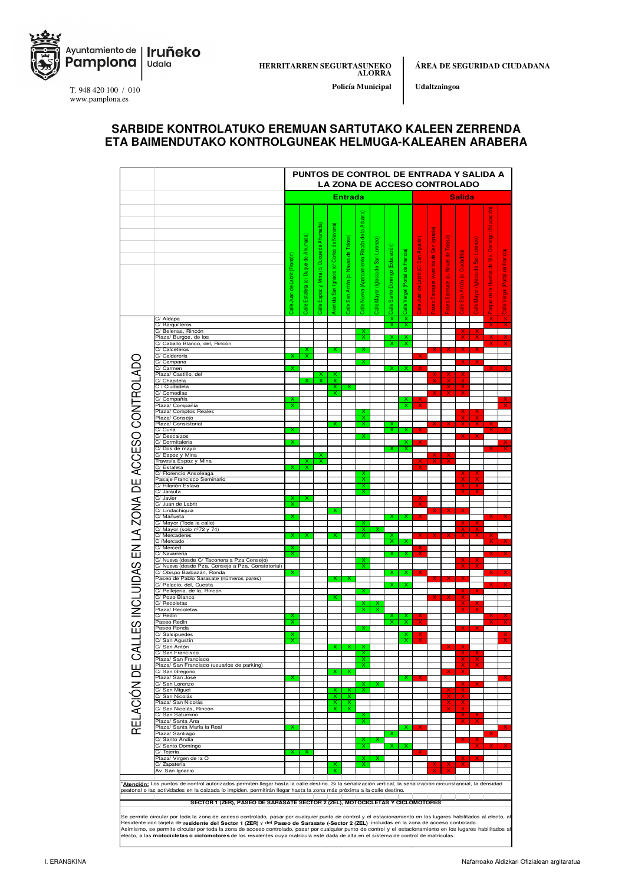

ÁREA DE SEGURIDAD CIUDADANA

Udaltzaingoa

Policía Municipal

T. 948 420 100 / 010 www.pamplona.es

#### SARBIDE KONTROLATUKO EREMUAN SARTUTAKO KALEEN ZERRENDA ETA BAIMENDUTAKO KONTROLGUNEAK HELMUGA-KALEAREN ARABERA

|                                                                               |                                                                                                                                                                                                                                                                                                                                                                                                                                                                                                                                                                                                                    | PUNTOS DE CONTROL DE ENTRADA Y SALIDA A<br>LA ZONA DE ACCESO CONTROLADO |                                |                                    |                                               |                                     |                                                    |                                      |                                 |                            |                                          |                                                      |                                          |                             |                                           |                                                             |                                 |  |
|-------------------------------------------------------------------------------|--------------------------------------------------------------------------------------------------------------------------------------------------------------------------------------------------------------------------------------------------------------------------------------------------------------------------------------------------------------------------------------------------------------------------------------------------------------------------------------------------------------------------------------------------------------------------------------------------------------------|-------------------------------------------------------------------------|--------------------------------|------------------------------------|-----------------------------------------------|-------------------------------------|----------------------------------------------------|--------------------------------------|---------------------------------|----------------------------|------------------------------------------|------------------------------------------------------|------------------------------------------|-----------------------------|-------------------------------------------|-------------------------------------------------------------|---------------------------------|--|
|                                                                               |                                                                                                                                                                                                                                                                                                                                                                                                                                                                                                                                                                                                                    | <b>Entrada</b>                                                          |                                |                                    |                                               |                                     |                                                    |                                      |                                 |                            | <b>Salida</b>                            |                                                      |                                          |                             |                                           |                                                             |                                 |  |
|                                                                               |                                                                                                                                                                                                                                                                                                                                                                                                                                                                                                                                                                                                                    |                                                                         |                                |                                    |                                               |                                     |                                                    |                                      |                                 |                            |                                          |                                                      |                                          |                             |                                           |                                                             |                                 |  |
|                                                                               |                                                                                                                                                                                                                                                                                                                                                                                                                                                                                                                                                                                                                    | Calle Juan de Labrit (Frontón)                                          | Estafeta (c/ Duque de Ahumada) | Espoz y Mina (c/ Duque de Ahumada) | Cortes de Navarra)<br>Avenida San Ignacio (c/ | Calle San Antón (c/ Navas de Tolosa | Aduana<br>Calle Nueva (Aparcamiento Rincón de la   | Calle Mayor (Iglesia de San Lorenzo) | Calle Santo Domingo (Educación) | Vergel (Portal de Francia) | Agustín)<br>န္တ<br>de Labrit (C/<br>luan | Ignacio)<br>$\frac{5}{3}$<br>(avenida de<br>Sarasate | Tolosa)<br>Navas de<br>aseo Sarasate (c/ | Ciudadela)<br>San Antón (c/ | Lorenzo<br>(Iglesia de San<br>Calle Mayor | (Educación<br>Domingo<br>la Huertas de Sto.<br><b>Bubre</b> | (Portal de Francia)<br>Vergel   |  |
|                                                                               |                                                                                                                                                                                                                                                                                                                                                                                                                                                                                                                                                                                                                    |                                                                         | Calle                          | <b>Calle</b>                       |                                               |                                     |                                                    |                                      |                                 | Calle <sup>-</sup>         | $\frac{1}{2}$                            | aseo                                                 |                                          | $\frac{9}{25}$              |                                           |                                                             | $\frac{1}{2}$                   |  |
|                                                                               | C/ Aldapa<br>C/ Barquilleros                                                                                                                                                                                                                                                                                                                                                                                                                                                                                                                                                                                       |                                                                         |                                |                                    |                                               |                                     |                                                    |                                      | $\frac{x}{x}$                   | $\frac{x}{x}$              |                                          |                                                      |                                          |                             |                                           |                                                             | $\frac{\mathsf{x}}{\mathsf{x}}$ |  |
|                                                                               | C/ Belenas, Rincón<br>Plaza/ Burgos, de los                                                                                                                                                                                                                                                                                                                                                                                                                                                                                                                                                                        |                                                                         |                                |                                    |                                               |                                     | $\overline{\mathsf{x}}$<br>Χ                       |                                      |                                 |                            |                                          |                                                      |                                          |                             |                                           |                                                             |                                 |  |
|                                                                               | C/ Caballo Blanco, del, Rincón<br>C/ Calceteros                                                                                                                                                                                                                                                                                                                                                                                                                                                                                                                                                                    |                                                                         |                                |                                    |                                               |                                     |                                                    |                                      | Ⴟ                               | x                          |                                          |                                                      |                                          | ×                           | $\overline{\mathsf{x}}$                   |                                                             | $\overline{\textsf{x}}$         |  |
|                                                                               | C/ Calderería                                                                                                                                                                                                                                                                                                                                                                                                                                                                                                                                                                                                      |                                                                         | x                              |                                    |                                               |                                     |                                                    |                                      |                                 |                            |                                          |                                                      |                                          |                             |                                           |                                                             |                                 |  |
| ES INCLUIDAS EN LA ZONA DE ACCESO CONTROLADC                                  | C/ Campana<br>C/ Carmen                                                                                                                                                                                                                                                                                                                                                                                                                                                                                                                                                                                            | x                                                                       |                                |                                    |                                               |                                     |                                                    |                                      | x                               | x                          |                                          |                                                      |                                          | x                           | x                                         |                                                             |                                 |  |
|                                                                               | Plaza/ Castillo, del<br>C/ Chapitela                                                                                                                                                                                                                                                                                                                                                                                                                                                                                                                                                                               |                                                                         |                                | ×<br>x                             | x<br>x                                        |                                     |                                                    |                                      |                                 |                            |                                          |                                                      |                                          |                             |                                           |                                                             |                                 |  |
|                                                                               | C / Ciudadela                                                                                                                                                                                                                                                                                                                                                                                                                                                                                                                                                                                                      |                                                                         |                                |                                    | x                                             |                                     |                                                    |                                      |                                 |                            |                                          |                                                      | ×                                        | x                           |                                           |                                                             |                                 |  |
|                                                                               | C/ Comedias<br>C/ Compañía                                                                                                                                                                                                                                                                                                                                                                                                                                                                                                                                                                                         |                                                                         |                                |                                    | x                                             |                                     |                                                    |                                      |                                 |                            |                                          |                                                      |                                          |                             |                                           |                                                             |                                 |  |
|                                                                               | Plaza/ Compañía<br>Plaza/ Comptos Reales                                                                                                                                                                                                                                                                                                                                                                                                                                                                                                                                                                           | X                                                                       |                                |                                    |                                               |                                     | x                                                  |                                      |                                 | x                          |                                          |                                                      |                                          |                             |                                           |                                                             |                                 |  |
|                                                                               | Plaza/ Consejo                                                                                                                                                                                                                                                                                                                                                                                                                                                                                                                                                                                                     |                                                                         |                                |                                    |                                               |                                     | x                                                  |                                      |                                 |                            |                                          |                                                      |                                          |                             |                                           |                                                             |                                 |  |
|                                                                               | Plaza/ Consistorial<br>C/ Curia                                                                                                                                                                                                                                                                                                                                                                                                                                                                                                                                                                                    |                                                                         |                                |                                    | ×                                             |                                     | X                                                  |                                      | x<br>x                          |                            |                                          |                                                      |                                          |                             |                                           |                                                             |                                 |  |
|                                                                               | C/Descalzos<br>C/ Dormitalería                                                                                                                                                                                                                                                                                                                                                                                                                                                                                                                                                                                     |                                                                         |                                |                                    |                                               |                                     |                                                    |                                      |                                 |                            |                                          |                                                      |                                          |                             |                                           |                                                             |                                 |  |
|                                                                               | C/Dos de mayo                                                                                                                                                                                                                                                                                                                                                                                                                                                                                                                                                                                                      |                                                                         |                                |                                    |                                               |                                     |                                                    |                                      |                                 | X                          |                                          |                                                      |                                          |                             |                                           |                                                             |                                 |  |
|                                                                               | C/ Espoz y Mina<br>Travesía Espoz y Mina                                                                                                                                                                                                                                                                                                                                                                                                                                                                                                                                                                           |                                                                         |                                | x                                  |                                               |                                     |                                                    |                                      |                                 |                            |                                          |                                                      |                                          |                             |                                           |                                                             |                                 |  |
|                                                                               | C/ Estafeta                                                                                                                                                                                                                                                                                                                                                                                                                                                                                                                                                                                                        |                                                                         | ᅑ                              |                                    |                                               |                                     |                                                    |                                      |                                 |                            |                                          |                                                      |                                          |                             |                                           |                                                             |                                 |  |
|                                                                               | C/ Florencio Ansoleaga<br>Pasaje Francisco Seminario                                                                                                                                                                                                                                                                                                                                                                                                                                                                                                                                                               |                                                                         |                                |                                    |                                               |                                     | x                                                  |                                      |                                 |                            |                                          |                                                      |                                          |                             |                                           |                                                             |                                 |  |
|                                                                               | C/ Hilarión Eslava<br>C/ Jarauta                                                                                                                                                                                                                                                                                                                                                                                                                                                                                                                                                                                   |                                                                         |                                |                                    |                                               |                                     | $\overline{\mathsf{x}}$<br>$\overline{\mathsf{x}}$ |                                      |                                 |                            |                                          |                                                      |                                          |                             | $\overline{\mathbf{x}}$                   |                                                             |                                 |  |
|                                                                               | C/ Javier                                                                                                                                                                                                                                                                                                                                                                                                                                                                                                                                                                                                          | ×                                                                       | ×                              |                                    |                                               |                                     |                                                    |                                      |                                 |                            |                                          |                                                      |                                          |                             |                                           |                                                             |                                 |  |
|                                                                               | C/ Juan de Labrit<br>C/ Lindachiquía                                                                                                                                                                                                                                                                                                                                                                                                                                                                                                                                                                               | x                                                                       |                                |                                    | x                                             |                                     |                                                    |                                      |                                 |                            |                                          |                                                      |                                          |                             |                                           |                                                             |                                 |  |
|                                                                               | C/ Mañueta                                                                                                                                                                                                                                                                                                                                                                                                                                                                                                                                                                                                         | x                                                                       |                                |                                    |                                               |                                     |                                                    |                                      | x                               |                            | ×                                        |                                                      |                                          | ×                           |                                           |                                                             |                                 |  |
|                                                                               | C/ Mayor (Toda la calle)<br>C/ Mayor (solo nº72 y 74)                                                                                                                                                                                                                                                                                                                                                                                                                                                                                                                                                              |                                                                         |                                |                                    |                                               |                                     | x                                                  |                                      |                                 |                            |                                          |                                                      |                                          |                             | x                                         |                                                             |                                 |  |
|                                                                               | C/ Mercaderes<br>C /Mercado                                                                                                                                                                                                                                                                                                                                                                                                                                                                                                                                                                                        | x                                                                       |                                |                                    | x                                             |                                     | x                                                  |                                      | x<br>X.                         | x                          |                                          |                                                      |                                          |                             | X                                         |                                                             |                                 |  |
|                                                                               | C/ Merced                                                                                                                                                                                                                                                                                                                                                                                                                                                                                                                                                                                                          | x                                                                       |                                |                                    |                                               |                                     |                                                    |                                      |                                 |                            | x                                        |                                                      |                                          |                             |                                           |                                                             |                                 |  |
|                                                                               | C/ Navarrería<br>C/ Nueva (desde C/ Taconera a Pza Consejo)                                                                                                                                                                                                                                                                                                                                                                                                                                                                                                                                                        | x                                                                       |                                |                                    |                                               |                                     | x                                                  |                                      | x                               | x                          | x                                        |                                                      |                                          | x                           | x                                         |                                                             |                                 |  |
|                                                                               | C/ Nueva (desde Pza. Consejo a Pza. Consistorial)<br>C/ Obispo Barbazán, Ronda                                                                                                                                                                                                                                                                                                                                                                                                                                                                                                                                     |                                                                         |                                |                                    |                                               |                                     | x                                                  |                                      |                                 |                            |                                          |                                                      |                                          |                             | x                                         |                                                             |                                 |  |
|                                                                               | Paseo de Pablo Sarasate (números pares)                                                                                                                                                                                                                                                                                                                                                                                                                                                                                                                                                                            |                                                                         |                                |                                    | х                                             | х                                   |                                                    |                                      |                                 |                            |                                          |                                                      |                                          |                             |                                           |                                                             |                                 |  |
|                                                                               | C/ Palacio, del, Cuesta<br>C/ Pellejería, de la, Ríncon                                                                                                                                                                                                                                                                                                                                                                                                                                                                                                                                                            |                                                                         |                                |                                    |                                               |                                     |                                                    |                                      | x                               | ×                          |                                          |                                                      |                                          |                             |                                           |                                                             |                                 |  |
|                                                                               | C/ Pozo Blanco                                                                                                                                                                                                                                                                                                                                                                                                                                                                                                                                                                                                     |                                                                         |                                |                                    | x                                             |                                     |                                                    |                                      |                                 |                            |                                          |                                                      |                                          |                             |                                           |                                                             |                                 |  |
|                                                                               | C/ Recoletas<br>Plaza/ Recoletas                                                                                                                                                                                                                                                                                                                                                                                                                                                                                                                                                                                   |                                                                         |                                |                                    |                                               |                                     | x<br>×                                             | x                                    |                                 |                            |                                          |                                                      |                                          |                             | $\frac{\mathsf{X}}{\mathsf{v}}$           |                                                             |                                 |  |
|                                                                               | C/ Redín<br>Paseo Redín                                                                                                                                                                                                                                                                                                                                                                                                                                                                                                                                                                                            | X                                                                       |                                |                                    |                                               |                                     |                                                    |                                      | $\overline{\mathsf{x}}$         | $\frac{x}{x}$              |                                          |                                                      |                                          |                             |                                           |                                                             |                                 |  |
|                                                                               | Paseo Ronda                                                                                                                                                                                                                                                                                                                                                                                                                                                                                                                                                                                                        |                                                                         |                                |                                    |                                               |                                     |                                                    |                                      |                                 |                            |                                          |                                                      |                                          |                             |                                           |                                                             |                                 |  |
|                                                                               | C/ Salsipuedes<br>C/ San Agustín                                                                                                                                                                                                                                                                                                                                                                                                                                                                                                                                                                                   |                                                                         |                                |                                    |                                               |                                     |                                                    |                                      |                                 |                            |                                          |                                                      |                                          |                             |                                           |                                                             |                                 |  |
|                                                                               | C/ San Antón<br>C/ San Francisco                                                                                                                                                                                                                                                                                                                                                                                                                                                                                                                                                                                   |                                                                         |                                |                                    |                                               |                                     | X                                                  |                                      |                                 |                            |                                          |                                                      |                                          |                             |                                           |                                                             |                                 |  |
|                                                                               | Plaza/ San Francisco                                                                                                                                                                                                                                                                                                                                                                                                                                                                                                                                                                                               |                                                                         |                                |                                    |                                               |                                     | $\overline{\mathsf{x}}$                            |                                      |                                 |                            |                                          |                                                      |                                          |                             |                                           |                                                             |                                 |  |
|                                                                               | Plaza/ San Francisco (usuarios de parking)<br>C/ San Gregorio                                                                                                                                                                                                                                                                                                                                                                                                                                                                                                                                                      |                                                                         |                                |                                    | ×                                             |                                     | x                                                  |                                      |                                 |                            |                                          |                                                      |                                          |                             |                                           |                                                             |                                 |  |
|                                                                               | Plaza/ San José                                                                                                                                                                                                                                                                                                                                                                                                                                                                                                                                                                                                    |                                                                         |                                |                                    |                                               |                                     |                                                    |                                      |                                 |                            |                                          |                                                      |                                          |                             |                                           |                                                             |                                 |  |
| RELACIÓN DE CAL                                                               | C/ San Lorenzo<br>C/ San Miguel                                                                                                                                                                                                                                                                                                                                                                                                                                                                                                                                                                                    |                                                                         |                                |                                    |                                               |                                     | X                                                  |                                      |                                 |                            |                                          |                                                      |                                          |                             | ×                                         |                                                             |                                 |  |
|                                                                               | C/ San Nicolás<br>Plaza/ San Nicolás                                                                                                                                                                                                                                                                                                                                                                                                                                                                                                                                                                               |                                                                         |                                |                                    | Χ                                             | Χ                                   |                                                    |                                      |                                 |                            |                                          |                                                      |                                          |                             |                                           |                                                             |                                 |  |
|                                                                               | C/ San Nicolás, Rincón                                                                                                                                                                                                                                                                                                                                                                                                                                                                                                                                                                                             |                                                                         |                                |                                    | x                                             | x                                   |                                                    |                                      |                                 |                            |                                          |                                                      |                                          | ×                           |                                           |                                                             |                                 |  |
|                                                                               | C/ San Saturnino<br>Plaza/ Santa Ana                                                                                                                                                                                                                                                                                                                                                                                                                                                                                                                                                                               |                                                                         |                                |                                    |                                               |                                     | x                                                  |                                      |                                 |                            |                                          |                                                      |                                          |                             | x                                         |                                                             |                                 |  |
|                                                                               | Plaza/ Santa María la Real                                                                                                                                                                                                                                                                                                                                                                                                                                                                                                                                                                                         |                                                                         |                                |                                    |                                               |                                     |                                                    |                                      |                                 |                            |                                          |                                                      |                                          |                             |                                           |                                                             |                                 |  |
|                                                                               | Plaza/ Santiago<br>C/ Santo Andía                                                                                                                                                                                                                                                                                                                                                                                                                                                                                                                                                                                  |                                                                         |                                |                                    |                                               |                                     |                                                    |                                      |                                 |                            |                                          |                                                      |                                          |                             |                                           |                                                             |                                 |  |
|                                                                               | C/ Santo Domingo<br>C/ Tejería                                                                                                                                                                                                                                                                                                                                                                                                                                                                                                                                                                                     | x                                                                       |                                |                                    |                                               |                                     | x                                                  |                                      |                                 |                            |                                          |                                                      |                                          |                             |                                           |                                                             |                                 |  |
|                                                                               | Plaza/ Virgen de la O                                                                                                                                                                                                                                                                                                                                                                                                                                                                                                                                                                                              |                                                                         |                                |                                    |                                               |                                     | x                                                  |                                      |                                 |                            |                                          |                                                      |                                          |                             |                                           |                                                             |                                 |  |
|                                                                               | C/ Zapatería<br>Av. San Ignacio                                                                                                                                                                                                                                                                                                                                                                                                                                                                                                                                                                                    |                                                                         |                                |                                    |                                               |                                     | x                                                  |                                      |                                 |                            |                                          |                                                      |                                          |                             |                                           |                                                             |                                 |  |
|                                                                               |                                                                                                                                                                                                                                                                                                                                                                                                                                                                                                                                                                                                                    |                                                                         |                                |                                    |                                               |                                     |                                                    |                                      |                                 |                            |                                          |                                                      |                                          |                             |                                           |                                                             |                                 |  |
|                                                                               | Atención: Los puntos de control autorizados permiten llegar hasta la calle destino. Si la señalización vertical, la señalización circunstancial, la densidad<br>peatonal o las actividades en la calzada lo impiden, permitirán llegar hasta la zona más próxima a la calle destino.                                                                                                                                                                                                                                                                                                                               |                                                                         |                                |                                    |                                               |                                     |                                                    |                                      |                                 |                            |                                          |                                                      |                                          |                             |                                           |                                                             |                                 |  |
| SECTOR 1 (ZER), PASEO DE SARASATE SECTOR 2 (ZEL), MOTOCICLETAS Y CICLOMOTORES |                                                                                                                                                                                                                                                                                                                                                                                                                                                                                                                                                                                                                    |                                                                         |                                |                                    |                                               |                                     |                                                    |                                      |                                 |                            |                                          |                                                      |                                          |                             |                                           |                                                             |                                 |  |
|                                                                               |                                                                                                                                                                                                                                                                                                                                                                                                                                                                                                                                                                                                                    |                                                                         |                                |                                    |                                               |                                     |                                                    |                                      |                                 |                            |                                          |                                                      |                                          |                             |                                           |                                                             |                                 |  |
|                                                                               | Se permite circular por toda la zona de acceso controlado, pasar por cualquier punto de control y el estacionamiento en los lugares habilitados al efecto, al<br>Residente con tarjeta de residente del Sector 1 (ZER) y del Paseo de Sarasate (-Sector 2 (ZEL) incluidas en la zona de acceso controlado.<br>Asimismo, se permite circular por toda la zona de acceso controlado, pasar por cualquier punto de control y el estacionamiento en los lugares habilitados al<br>efecto, a las motocicletas o ciclomotores de los residentes cuya matrícula esté dada de alta en el sistema de control de matrículas. |                                                                         |                                |                                    |                                               |                                     |                                                    |                                      |                                 |                            |                                          |                                                      |                                          |                             |                                           |                                                             |                                 |  |